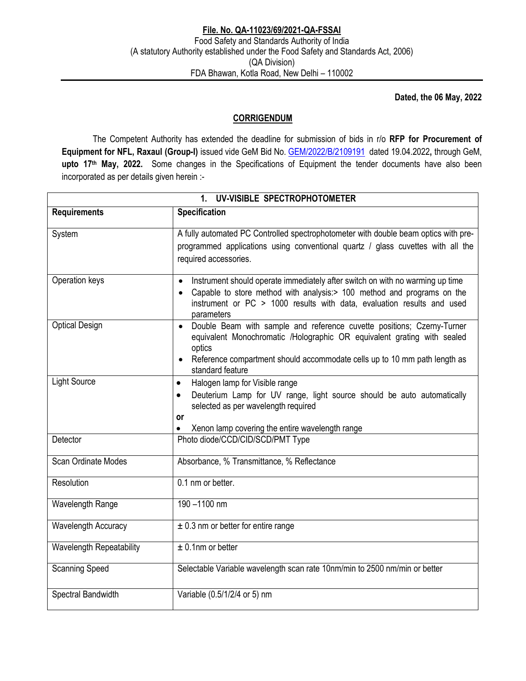**Dated, the 06 May, 2022** 

## **CORRIGENDUM**

 The Competent Authority has extended the deadline for submission of bids in r/o **RFP for Procurement of Equipment for NFL, Raxaul (Group-I)** issued vide GeM Bid No. GEM/2022/B/2109191 dated 19.04.2022**,** through GeM, **upto 17th May, 2022.** Some changes in the Specifications of Equipment the tender documents have also been incorporated as per details given herein :-

| 1. UV-VISIBLE SPECTROPHOTOMETER |                                                                                                                                                                                                                                                                           |  |
|---------------------------------|---------------------------------------------------------------------------------------------------------------------------------------------------------------------------------------------------------------------------------------------------------------------------|--|
| <b>Requirements</b>             | Specification                                                                                                                                                                                                                                                             |  |
| System                          | A fully automated PC Controlled spectrophotometer with double beam optics with pre-<br>programmed applications using conventional quartz / glass cuvettes with all the<br>required accessories.                                                                           |  |
| Operation keys                  | Instrument should operate immediately after switch on with no warming up time<br>$\bullet$<br>Capable to store method with analysis: > 100 method and programs on the<br>instrument or PC > 1000 results with data, evaluation results and used<br>parameters             |  |
| <b>Optical Design</b>           | Double Beam with sample and reference cuvette positions; Czerny-Turner<br>$\bullet$<br>equivalent Monochromatic /Holographic OR equivalent grating with sealed<br>optics<br>Reference compartment should accommodate cells up to 10 mm path length as<br>standard feature |  |
| <b>Light Source</b>             | Halogen lamp for Visible range<br>$\bullet$<br>Deuterium Lamp for UV range, light source should be auto automatically<br>$\bullet$<br>selected as per wavelength required<br><b>or</b><br>Xenon lamp covering the entire wavelength range                                 |  |
| Detector                        | Photo diode/CCD/CID/SCD/PMT Type                                                                                                                                                                                                                                          |  |
| Scan Ordinate Modes             | Absorbance, % Transmittance, % Reflectance                                                                                                                                                                                                                                |  |
| Resolution                      | 0.1 nm or better.                                                                                                                                                                                                                                                         |  |
| Wavelength Range                | 190-1100 nm                                                                                                                                                                                                                                                               |  |
| Wavelength Accuracy             | $\pm$ 0.3 nm or better for entire range                                                                                                                                                                                                                                   |  |
| Wavelength Repeatability        | $±$ 0.1nm or better                                                                                                                                                                                                                                                       |  |
| <b>Scanning Speed</b>           | Selectable Variable wavelength scan rate 10nm/min to 2500 nm/min or better                                                                                                                                                                                                |  |
| Spectral Bandwidth              | Variable (0.5/1/2/4 or 5) nm                                                                                                                                                                                                                                              |  |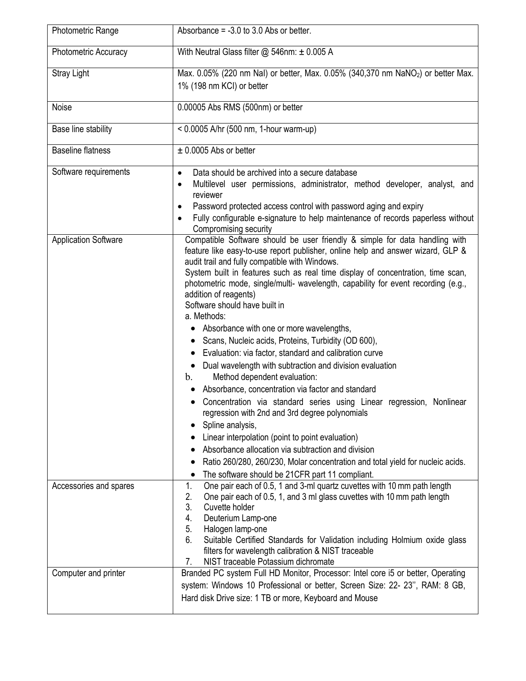| <b>Photometric Range</b>    | Absorbance = $-3.0$ to 3.0 Abs or better.                                                                                                                                                                                                                                                                                                                                                                                                                                                                                                                                                                                                                                                                                                                                                                                                                                                                                                                                                                                                                                                                                                                                                                                      |
|-----------------------------|--------------------------------------------------------------------------------------------------------------------------------------------------------------------------------------------------------------------------------------------------------------------------------------------------------------------------------------------------------------------------------------------------------------------------------------------------------------------------------------------------------------------------------------------------------------------------------------------------------------------------------------------------------------------------------------------------------------------------------------------------------------------------------------------------------------------------------------------------------------------------------------------------------------------------------------------------------------------------------------------------------------------------------------------------------------------------------------------------------------------------------------------------------------------------------------------------------------------------------|
| Photometric Accuracy        | With Neutral Glass filter $@$ 546nm: $\pm$ 0.005 A                                                                                                                                                                                                                                                                                                                                                                                                                                                                                                                                                                                                                                                                                                                                                                                                                                                                                                                                                                                                                                                                                                                                                                             |
| <b>Stray Light</b>          | Max. 0.05% (220 nm NaI) or better, Max. 0.05% (340,370 nm NaNO <sub>2</sub> ) or better Max.<br>1% (198 nm KCI) or better                                                                                                                                                                                                                                                                                                                                                                                                                                                                                                                                                                                                                                                                                                                                                                                                                                                                                                                                                                                                                                                                                                      |
| Noise                       | 0.00005 Abs RMS (500nm) or better                                                                                                                                                                                                                                                                                                                                                                                                                                                                                                                                                                                                                                                                                                                                                                                                                                                                                                                                                                                                                                                                                                                                                                                              |
| Base line stability         | < 0.0005 A/hr (500 nm, 1-hour warm-up)                                                                                                                                                                                                                                                                                                                                                                                                                                                                                                                                                                                                                                                                                                                                                                                                                                                                                                                                                                                                                                                                                                                                                                                         |
| <b>Baseline flatness</b>    | $\pm$ 0.0005 Abs or better                                                                                                                                                                                                                                                                                                                                                                                                                                                                                                                                                                                                                                                                                                                                                                                                                                                                                                                                                                                                                                                                                                                                                                                                     |
| Software requirements       | Data should be archived into a secure database<br>$\bullet$<br>Multilevel user permissions, administrator, method developer, analyst, and<br>reviewer<br>Password protected access control with password aging and expiry<br>$\bullet$<br>Fully configurable e-signature to help maintenance of records paperless without<br>Compromising security                                                                                                                                                                                                                                                                                                                                                                                                                                                                                                                                                                                                                                                                                                                                                                                                                                                                             |
| <b>Application Software</b> | Compatible Software should be user friendly & simple for data handling with<br>feature like easy-to-use report publisher, online help and answer wizard, GLP &<br>audit trail and fully compatible with Windows.<br>System built in features such as real time display of concentration, time scan,<br>photometric mode, single/multi- wavelength, capability for event recording (e.g.,<br>addition of reagents)<br>Software should have built in<br>a. Methods:<br>• Absorbance with one or more wavelengths,<br>• Scans, Nucleic acids, Proteins, Turbidity (OD 600),<br>Evaluation: via factor, standard and calibration curve<br>Dual wavelength with subtraction and division evaluation<br>$\bullet$<br>Method dependent evaluation:<br>$\mathbf{b}$ .<br>Absorbance, concentration via factor and standard<br>• Concentration via standard series using Linear regression, Nonlinear<br>regression with 2nd and 3rd degree polynomials<br>Spline analysis,<br>Linear interpolation (point to point evaluation)<br>Absorbance allocation via subtraction and division<br>Ratio 260/280, 260/230, Molar concentration and total yield for nucleic acids.<br>The software should be 21CFR part 11 compliant.<br>$\bullet$ |
| Accessories and spares      | One pair each of 0.5, 1 and 3-ml quartz cuvettes with 10 mm path length<br>1.<br>One pair each of 0.5, 1, and 3 ml glass cuvettes with 10 mm path length<br>2.<br>3.<br>Cuvette holder<br>4.<br>Deuterium Lamp-one<br>5.<br>Halogen lamp-one<br>6.<br>Suitable Certified Standards for Validation including Holmium oxide glass<br>filters for wavelength calibration & NIST traceable<br>NIST traceable Potassium dichromate<br>7.                                                                                                                                                                                                                                                                                                                                                                                                                                                                                                                                                                                                                                                                                                                                                                                            |
| Computer and printer        | Branded PC system Full HD Monitor, Processor: Intel core i5 or better, Operating<br>system: Windows 10 Professional or better, Screen Size: 22- 23", RAM: 8 GB,<br>Hard disk Drive size: 1 TB or more, Keyboard and Mouse                                                                                                                                                                                                                                                                                                                                                                                                                                                                                                                                                                                                                                                                                                                                                                                                                                                                                                                                                                                                      |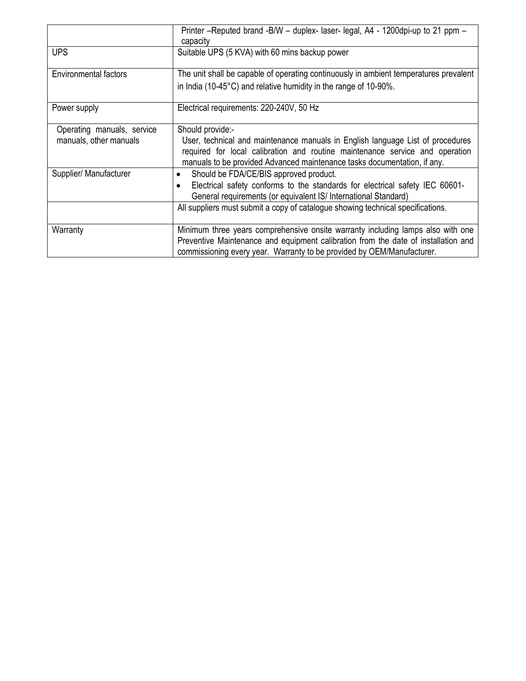|                                                      | Printer -Reputed brand -B/W - duplex- laser- legal, A4 - 1200dpi-up to 21 ppm -<br>capacity                                                                                                                                                                    |
|------------------------------------------------------|----------------------------------------------------------------------------------------------------------------------------------------------------------------------------------------------------------------------------------------------------------------|
| <b>UPS</b>                                           | Suitable UPS (5 KVA) with 60 mins backup power                                                                                                                                                                                                                 |
| <b>Environmental factors</b>                         | The unit shall be capable of operating continuously in ambient temperatures prevalent                                                                                                                                                                          |
|                                                      | in India (10-45°C) and relative humidity in the range of 10-90%.                                                                                                                                                                                               |
| Power supply                                         | Electrical requirements: 220-240V, 50 Hz                                                                                                                                                                                                                       |
| Operating manuals, service<br>manuals, other manuals | Should provide:-<br>User, technical and maintenance manuals in English language List of procedures<br>required for local calibration and routine maintenance service and operation<br>manuals to be provided Advanced maintenance tasks documentation, if any. |
| Supplier/ Manufacturer                               | Should be FDA/CE/BIS approved product.<br>٠<br>Electrical safety conforms to the standards for electrical safety IEC 60601-                                                                                                                                    |
|                                                      | General requirements (or equivalent IS/ International Standard)                                                                                                                                                                                                |
|                                                      | All suppliers must submit a copy of catalogue showing technical specifications.                                                                                                                                                                                |
| Warranty                                             | Minimum three years comprehensive onsite warranty including lamps also with one<br>Preventive Maintenance and equipment calibration from the date of installation and<br>commissioning every year. Warranty to be provided by OEM/Manufacturer.                |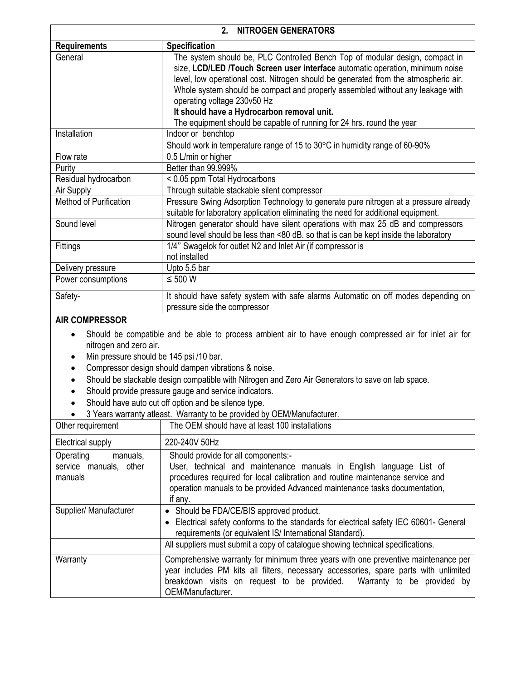| 2.<br><b>NITROGEN GENERATORS</b>                      |                                                                                                                                                                                                                                                                                                                                                                                                                     |  |
|-------------------------------------------------------|---------------------------------------------------------------------------------------------------------------------------------------------------------------------------------------------------------------------------------------------------------------------------------------------------------------------------------------------------------------------------------------------------------------------|--|
| <b>Requirements</b>                                   | <b>Specification</b>                                                                                                                                                                                                                                                                                                                                                                                                |  |
| General                                               | The system should be, PLC Controlled Bench Top of modular design, compact in<br>size, LCD/LED /Touch Screen user interface automatic operation, minimum noise<br>level, low operational cost. Nitrogen should be generated from the atmospheric air.<br>Whole system should be compact and properly assembled without any leakage with<br>operating voltage 230v50 Hz<br>It should have a Hydrocarbon removal unit. |  |
|                                                       | The equipment should be capable of running for 24 hrs. round the year                                                                                                                                                                                                                                                                                                                                               |  |
| Installation                                          | Indoor or benchtop<br>Should work in temperature range of 15 to 30°C in humidity range of 60-90%                                                                                                                                                                                                                                                                                                                    |  |
| Flow rate                                             | 0.5 L/min or higher                                                                                                                                                                                                                                                                                                                                                                                                 |  |
| Purity                                                | Better than 99.999%                                                                                                                                                                                                                                                                                                                                                                                                 |  |
| Residual hydrocarbon                                  | < 0.05 ppm Total Hydrocarbons                                                                                                                                                                                                                                                                                                                                                                                       |  |
| Air Supply                                            | Through suitable stackable silent compressor                                                                                                                                                                                                                                                                                                                                                                        |  |
| Method of Purification                                | Pressure Swing Adsorption Technology to generate pure nitrogen at a pressure already<br>suitable for laboratory application eliminating the need for additional equipment.                                                                                                                                                                                                                                          |  |
| Sound level                                           | Nitrogen generator should have silent operations with max 25 dB and compressors<br>sound level should be less than <80 dB. so that is can be kept inside the laboratory                                                                                                                                                                                                                                             |  |
| <b>Fittings</b>                                       | 1/4" Swagelok for outlet N2 and Inlet Air (if compressor is<br>not installed                                                                                                                                                                                                                                                                                                                                        |  |
| Delivery pressure                                     | Upto 5.5 bar                                                                                                                                                                                                                                                                                                                                                                                                        |  |
| Power consumptions                                    | $\leq 500 W$                                                                                                                                                                                                                                                                                                                                                                                                        |  |
| Safety-                                               | It should have safety system with safe alarms Automatic on off modes depending on<br>pressure side the compressor                                                                                                                                                                                                                                                                                                   |  |
| <b>AIR COMPRESSOR</b>                                 |                                                                                                                                                                                                                                                                                                                                                                                                                     |  |
| $\bullet$<br>nitrogen and zero air.<br>٠<br>$\bullet$ | Should be compatible and be able to process ambient air to have enough compressed air for inlet air for<br>Min pressure should be 145 psi /10 bar.<br>Compressor design should dampen vibrations & noise.<br>Should be stackable design compatible with Nitrogen and Zero Air Generators to save on lab space.                                                                                                      |  |
| Should provide pressure gauge and service indicators. |                                                                                                                                                                                                                                                                                                                                                                                                                     |  |

• Should have auto cut off option and be silence type.

 $\Bigg\}$ 

3 Years warranty atleast. Warranty to be provided by OEM/Manufacturer.

| Other requirement                                          | The OEM should have at least 100 installations                                                                                                                                                                                                                                       |  |
|------------------------------------------------------------|--------------------------------------------------------------------------------------------------------------------------------------------------------------------------------------------------------------------------------------------------------------------------------------|--|
| Electrical supply                                          | 220-240V 50Hz                                                                                                                                                                                                                                                                        |  |
| Operating<br>manuals,<br>service manuals, other<br>manuals | Should provide for all components:-<br>User, technical and maintenance manuals in English language List of<br>procedures required for local calibration and routine maintenance service and<br>operation manuals to be provided Advanced maintenance tasks documentation,<br>if any. |  |
| Supplier/ Manufacturer                                     | • Should be FDA/CE/BIS approved product.<br>Electrical safety conforms to the standards for electrical safety IEC 60601- General<br>requirements (or equivalent IS/ International Standard).                                                                                         |  |
|                                                            | All suppliers must submit a copy of catalogue showing technical specifications.                                                                                                                                                                                                      |  |
| Warranty                                                   | Comprehensive warranty for minimum three years with one preventive maintenance per<br>year includes PM kits all filters, necessary accessories, spare parts with unlimited<br>breakdown visits on request to be provided. Warranty to be provided by<br>OEM/Manufacturer.            |  |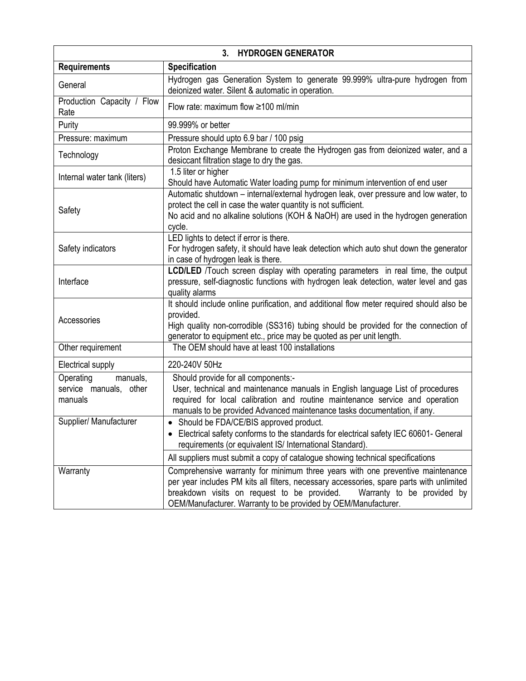| <b>HYDROGEN GENERATOR</b><br>$3_{-}$                       |                                                                                                                                                                                                                                                                                                                           |  |
|------------------------------------------------------------|---------------------------------------------------------------------------------------------------------------------------------------------------------------------------------------------------------------------------------------------------------------------------------------------------------------------------|--|
| <b>Requirements</b>                                        | <b>Specification</b>                                                                                                                                                                                                                                                                                                      |  |
| General                                                    | Hydrogen gas Generation System to generate 99.999% ultra-pure hydrogen from<br>deionized water. Silent & automatic in operation.                                                                                                                                                                                          |  |
| Production Capacity / Flow<br>Rate                         | Flow rate: maximum flow ≥100 ml/min                                                                                                                                                                                                                                                                                       |  |
| Purity                                                     | 99.999% or better                                                                                                                                                                                                                                                                                                         |  |
| Pressure: maximum                                          | Pressure should upto 6.9 bar / 100 psig                                                                                                                                                                                                                                                                                   |  |
| Technology                                                 | Proton Exchange Membrane to create the Hydrogen gas from deionized water, and a<br>desiccant filtration stage to dry the gas.                                                                                                                                                                                             |  |
| Internal water tank (liters)                               | 1.5 liter or higher<br>Should have Automatic Water loading pump for minimum intervention of end user                                                                                                                                                                                                                      |  |
| Safety                                                     | Automatic shutdown - internal/external hydrogen leak, over pressure and low water, to<br>protect the cell in case the water quantity is not sufficient.<br>No acid and no alkaline solutions (KOH & NaOH) are used in the hydrogen generation<br>cycle.                                                                   |  |
| Safety indicators                                          | LED lights to detect if error is there.<br>For hydrogen safety, it should have leak detection which auto shut down the generator<br>in case of hydrogen leak is there.                                                                                                                                                    |  |
| Interface                                                  | LCD/LED /Touch screen display with operating parameters in real time, the output<br>pressure, self-diagnostic functions with hydrogen leak detection, water level and gas<br>quality alarms                                                                                                                               |  |
| Accessories                                                | It should include online purification, and additional flow meter required should also be<br>provided.<br>High quality non-corrodible (SS316) tubing should be provided for the connection of<br>generator to equipment etc., price may be quoted as per unit length.                                                      |  |
| Other requirement                                          | The OEM should have at least 100 installations                                                                                                                                                                                                                                                                            |  |
| Electrical supply                                          | 220-240V 50Hz                                                                                                                                                                                                                                                                                                             |  |
| Operating<br>manuals,<br>service manuals, other<br>manuals | Should provide for all components:-<br>User, technical and maintenance manuals in English language List of procedures<br>required for local calibration and routine maintenance service and operation<br>manuals to be provided Advanced maintenance tasks documentation, if any.                                         |  |
| Supplier/ Manufacturer                                     | • Should be FDA/CE/BIS approved product.<br>Electrical safety conforms to the standards for electrical safety IEC 60601- General<br>requirements (or equivalent IS/ International Standard).                                                                                                                              |  |
|                                                            | All suppliers must submit a copy of catalogue showing technical specifications                                                                                                                                                                                                                                            |  |
| Warranty                                                   | Comprehensive warranty for minimum three years with one preventive maintenance<br>per year includes PM kits all filters, necessary accessories, spare parts with unlimited<br>breakdown visits on request to be provided.<br>Warranty to be provided by<br>OEM/Manufacturer. Warranty to be provided by OEM/Manufacturer. |  |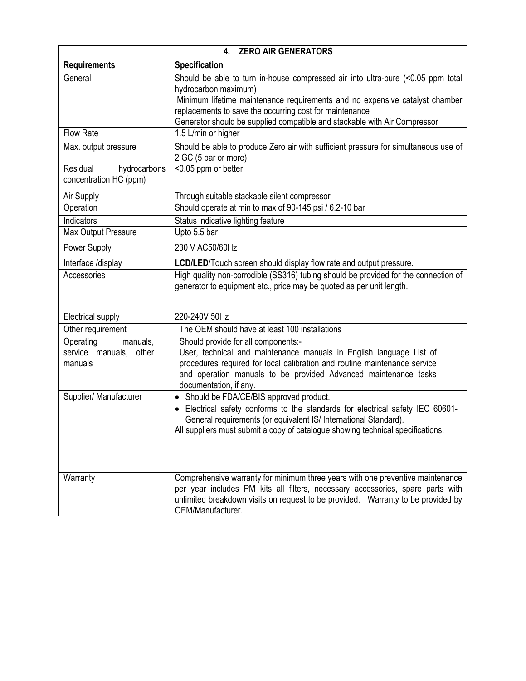| 4. ZERO AIR GENERATORS                                     |                                                                                                                                                                                                                                                                                                                                |  |
|------------------------------------------------------------|--------------------------------------------------------------------------------------------------------------------------------------------------------------------------------------------------------------------------------------------------------------------------------------------------------------------------------|--|
| <b>Requirements</b>                                        | Specification                                                                                                                                                                                                                                                                                                                  |  |
| General                                                    | Should be able to turn in-house compressed air into ultra-pure (<0.05 ppm total<br>hydrocarbon maximum)<br>Minimum lifetime maintenance requirements and no expensive catalyst chamber<br>replacements to save the occurring cost for maintenance<br>Generator should be supplied compatible and stackable with Air Compressor |  |
| <b>Flow Rate</b>                                           | 1.5 L/min or higher                                                                                                                                                                                                                                                                                                            |  |
| Max. output pressure                                       | Should be able to produce Zero air with sufficient pressure for simultaneous use of<br>2 GC (5 bar or more)                                                                                                                                                                                                                    |  |
| Residual<br>hydrocarbons<br>concentration HC (ppm)         | <0.05 ppm or better                                                                                                                                                                                                                                                                                                            |  |
| Air Supply                                                 | Through suitable stackable silent compressor                                                                                                                                                                                                                                                                                   |  |
| Operation                                                  | Should operate at min to max of 90-145 psi / 6.2-10 bar                                                                                                                                                                                                                                                                        |  |
| Indicators                                                 | Status indicative lighting feature                                                                                                                                                                                                                                                                                             |  |
| <b>Max Output Pressure</b>                                 | Upto 5.5 bar                                                                                                                                                                                                                                                                                                                   |  |
| Power Supply                                               | 230 V AC50/60Hz                                                                                                                                                                                                                                                                                                                |  |
| Interface /display                                         | LCD/LED/Touch screen should display flow rate and output pressure.                                                                                                                                                                                                                                                             |  |
| Accessories                                                | High quality non-corrodible (SS316) tubing should be provided for the connection of<br>generator to equipment etc., price may be quoted as per unit length.                                                                                                                                                                    |  |
| Electrical supply                                          | 220-240V 50Hz                                                                                                                                                                                                                                                                                                                  |  |
| Other requirement                                          | The OEM should have at least 100 installations                                                                                                                                                                                                                                                                                 |  |
| Operating<br>manuals,<br>service manuals, other<br>manuals | Should provide for all components:-<br>User, technical and maintenance manuals in English language List of<br>procedures required for local calibration and routine maintenance service<br>and operation manuals to be provided Advanced maintenance tasks<br>documentation, if any.                                           |  |
| Supplier/ Manufacturer                                     | Should be FDA/CE/BIS approved product.<br>$\bullet$<br>• Electrical safety conforms to the standards for electrical safety IEC 60601-<br>General requirements (or equivalent IS/ International Standard).<br>All suppliers must submit a copy of catalogue showing technical specifications.                                   |  |
| Warranty                                                   | Comprehensive warranty for minimum three years with one preventive maintenance<br>per year includes PM kits all filters, necessary accessories, spare parts with<br>unlimited breakdown visits on request to be provided. Warranty to be provided by<br>OEM/Manufacturer.                                                      |  |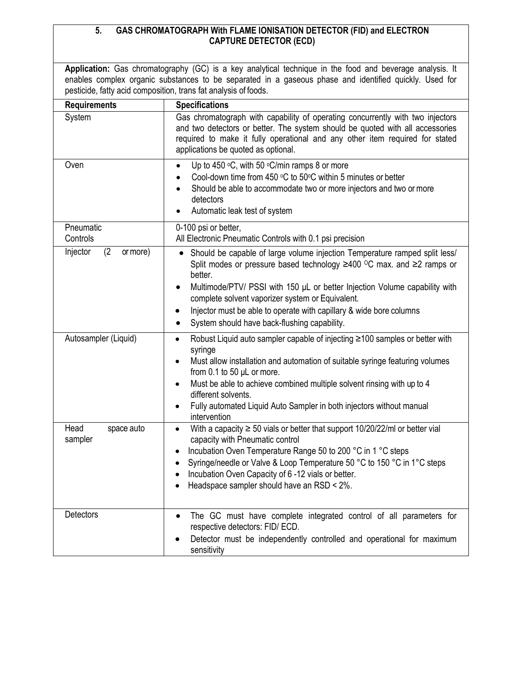## **5. GAS CHROMATOGRAPH With FLAME IONISATION DETECTOR (FID) and ELECTRON CAPTURE DETECTOR (ECD)**

**Application:** Gas chromatography (GC) is a key analytical technique in the food and beverage analysis. It enables complex organic substances to be separated in a gaseous phase and identified quickly. Used for pesticide, fatty acid composition, trans fat analysis of foods.

| <b>Requirements</b>           | <b>Specifications</b>                                                                                                                                                                                                                                                                                                                                                                                                                                                         |
|-------------------------------|-------------------------------------------------------------------------------------------------------------------------------------------------------------------------------------------------------------------------------------------------------------------------------------------------------------------------------------------------------------------------------------------------------------------------------------------------------------------------------|
| System                        | Gas chromatograph with capability of operating concurrently with two injectors<br>and two detectors or better. The system should be quoted with all accessories<br>required to make it fully operational and any other item required for stated<br>applications be quoted as optional.                                                                                                                                                                                        |
| Oven                          | Up to 450 $\mathrm{^{\circ}C}$ , with 50 $\mathrm{^{\circ}C/min}$ ramps 8 or more<br>Cool-down time from 450 °C to 50°C within 5 minutes or better<br>Should be able to accommodate two or more injectors and two or more<br>detectors<br>Automatic leak test of system                                                                                                                                                                                                       |
| Pneumatic<br>Controls         | 0-100 psi or better,<br>All Electronic Pneumatic Controls with 0.1 psi precision                                                                                                                                                                                                                                                                                                                                                                                              |
| (2)<br>Injector<br>or more)   | Should be capable of large volume injection Temperature ramped split less/<br>$\bullet$<br>Split modes or pressure based technology $\geq$ 400 °C max. and $\geq$ ramps or<br>better.<br>Multimode/PTV/ PSSI with 150 µL or better Injection Volume capability with<br>$\bullet$<br>complete solvent vaporizer system or Equivalent.<br>Injector must be able to operate with capillary & wide bore columns<br>$\bullet$<br>System should have back-flushing capability.<br>٠ |
| Autosampler (Liquid)          | Robust Liquid auto sampler capable of injecting ≥100 samples or better with<br>$\bullet$<br>syringe<br>Must allow installation and automation of suitable syringe featuring volumes<br>$\bullet$<br>from 0.1 to 50 µL or more.<br>Must be able to achieve combined multiple solvent rinsing with up to 4<br>$\bullet$<br>different solvents.<br>Fully automated Liquid Auto Sampler in both injectors without manual<br>$\bullet$<br>intervention                             |
| Head<br>space auto<br>sampler | With a capacity $\geq 50$ vials or better that support 10/20/22/ml or better vial<br>$\bullet$<br>capacity with Pneumatic control<br>Incubation Oven Temperature Range 50 to 200 °C in 1 °C steps<br>٠<br>Syringe/needle or Valve & Loop Temperature 50 °C to 150 °C in 1°C steps<br>$\bullet$<br>Incubation Oven Capacity of 6-12 vials or better.<br>$\bullet$<br>Headspace sampler should have an RSD < 2%.                                                                |
| Detectors                     | The GC must have complete integrated control of all parameters for<br>$\bullet$<br>respective detectors: FID/ ECD.<br>Detector must be independently controlled and operational for maximum<br>sensitivity                                                                                                                                                                                                                                                                    |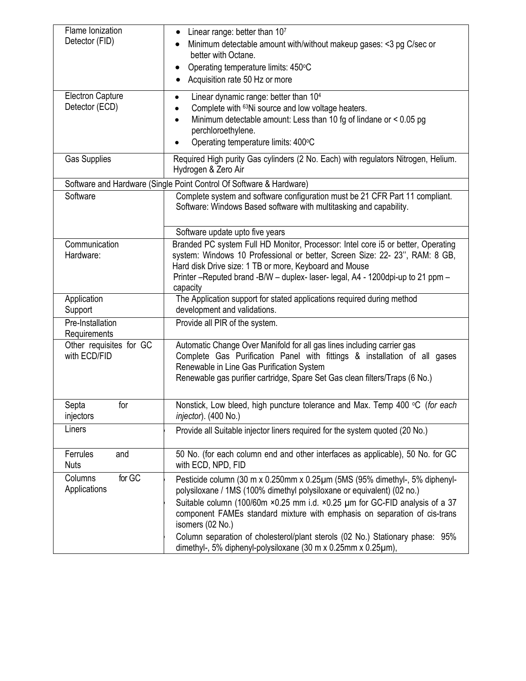| Flame Ionization<br>Detector (FID)        | Linear range: better than 107<br>$\bullet$<br>Minimum detectable amount with/without makeup gases: <3 pg C/sec or<br>better with Octane.<br>Operating temperature limits: 450°C<br>٠<br>Acquisition rate 50 Hz or more                                                                                                                                                                                                                                                                        |
|-------------------------------------------|-----------------------------------------------------------------------------------------------------------------------------------------------------------------------------------------------------------------------------------------------------------------------------------------------------------------------------------------------------------------------------------------------------------------------------------------------------------------------------------------------|
| <b>Electron Capture</b><br>Detector (ECD) | Linear dynamic range: better than 104<br>$\bullet$<br>Complete with <sup>63</sup> Ni source and low voltage heaters.<br>Minimum detectable amount: Less than 10 fg of lindane or < 0.05 pg<br>perchloroethylene.<br>Operating temperature limits: 400°C                                                                                                                                                                                                                                       |
| <b>Gas Supplies</b>                       | Required High purity Gas cylinders (2 No. Each) with regulators Nitrogen, Helium.<br>Hydrogen & Zero Air                                                                                                                                                                                                                                                                                                                                                                                      |
|                                           | Software and Hardware (Single Point Control Of Software & Hardware)                                                                                                                                                                                                                                                                                                                                                                                                                           |
| Software                                  | Complete system and software configuration must be 21 CFR Part 11 compliant.<br>Software: Windows Based software with multitasking and capability.                                                                                                                                                                                                                                                                                                                                            |
|                                           | Software update upto five years                                                                                                                                                                                                                                                                                                                                                                                                                                                               |
| Communication<br>Hardware:                | Branded PC system Full HD Monitor, Processor: Intel core i5 or better, Operating<br>system: Windows 10 Professional or better, Screen Size: 22- 23", RAM: 8 GB,<br>Hard disk Drive size: 1 TB or more, Keyboard and Mouse<br>Printer - Reputed brand - B/W - duplex-laser-legal, A4 - 1200dpi-up to 21 ppm -<br>capacity                                                                                                                                                                      |
| Application<br>Support                    | The Application support for stated applications required during method<br>development and validations.                                                                                                                                                                                                                                                                                                                                                                                        |
| Pre-Installation<br>Requirements          | Provide all PIR of the system.                                                                                                                                                                                                                                                                                                                                                                                                                                                                |
| Other requisites for GC<br>with ECD/FID   | Automatic Change Over Manifold for all gas lines including carrier gas<br>Complete Gas Purification Panel with fittings & installation of all gases<br>Renewable in Line Gas Purification System<br>Renewable gas purifier cartridge, Spare Set Gas clean filters/Traps (6 No.)                                                                                                                                                                                                               |
| Septa<br>for<br>injectors                 | Nonstick, Low bleed, high puncture tolerance and Max. Temp 400 °C (for each<br>injector). (400 No.)                                                                                                                                                                                                                                                                                                                                                                                           |
| Liners                                    | Provide all Suitable injector liners required for the system quoted (20 No.)                                                                                                                                                                                                                                                                                                                                                                                                                  |
| Ferrules<br>and<br><b>Nuts</b>            | 50 No. (for each column end and other interfaces as applicable), 50 No. for GC<br>with ECD, NPD, FID                                                                                                                                                                                                                                                                                                                                                                                          |
| for GC<br>Columns<br>Applications         | Pesticide column (30 m x 0.250mm x 0.25µm (5MS (95% dimethyl-, 5% diphenyl-<br>polysiloxane / 1MS (100% dimethyl polysiloxane or equivalent) (02 no.)<br>Suitable column (100/60m ×0.25 mm i.d. ×0.25 µm for GC-FID analysis of a 37<br>component FAMEs standard mixture with emphasis on separation of cis-trans<br>isomers (02 No.)<br>Column separation of cholesterol/plant sterols (02 No.) Stationary phase: 95%<br>dimethyl-, 5% diphenyl-polysiloxane (30 m x 0.25mm x 0.25 $\mu$ m), |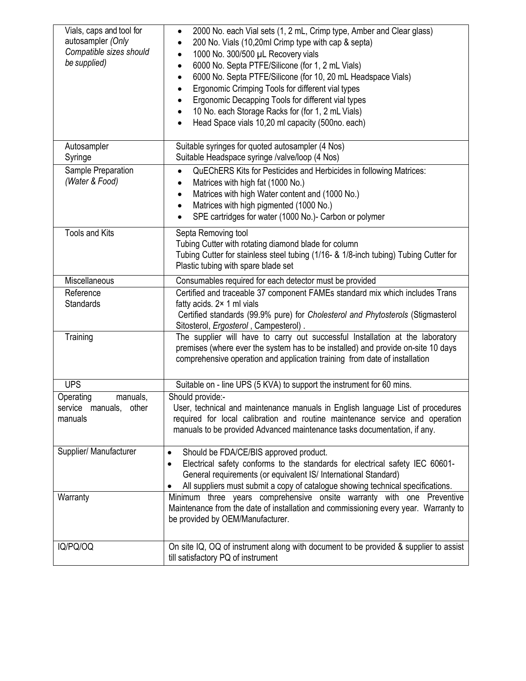| Vials, caps and tool for<br>autosampler (Only<br>Compatible sizes should<br>be supplied) | 2000 No. each Vial sets (1, 2 mL, Crimp type, Amber and Clear glass)<br>$\bullet$<br>200 No. Vials (10,20ml Crimp type with cap & septa)<br>1000 No. 300/500 µL Recovery vials<br>$\bullet$<br>6000 No. Septa PTFE/Silicone (for 1, 2 mL Vials)<br>$\bullet$<br>6000 No. Septa PTFE/Silicone (for 10, 20 mL Headspace Vials)<br>$\bullet$<br>Ergonomic Crimping Tools for different vial types<br>٠<br>Ergonomic Decapping Tools for different vial types<br>10 No. each Storage Racks for (for 1, 2 mL Vials) |  |
|------------------------------------------------------------------------------------------|----------------------------------------------------------------------------------------------------------------------------------------------------------------------------------------------------------------------------------------------------------------------------------------------------------------------------------------------------------------------------------------------------------------------------------------------------------------------------------------------------------------|--|
|                                                                                          | Head Space vials 10,20 ml capacity (500no. each)                                                                                                                                                                                                                                                                                                                                                                                                                                                               |  |
| Autosampler<br>Syringe                                                                   | Suitable syringes for quoted autosampler (4 Nos)<br>Suitable Headspace syringe /valve/loop (4 Nos)                                                                                                                                                                                                                                                                                                                                                                                                             |  |
| Sample Preparation<br>(Water & Food)                                                     | QuEChERS Kits for Pesticides and Herbicides in following Matrices:<br>$\bullet$<br>Matrices with high fat (1000 No.)<br>$\bullet$<br>Matrices with high Water content and (1000 No.)<br>٠<br>Matrices with high pigmented (1000 No.)<br>SPE cartridges for water (1000 No.)- Carbon or polymer                                                                                                                                                                                                                 |  |
| <b>Tools and Kits</b>                                                                    | Septa Removing tool<br>Tubing Cutter with rotating diamond blade for column<br>Tubing Cutter for stainless steel tubing (1/16- & 1/8-inch tubing) Tubing Cutter for<br>Plastic tubing with spare blade set                                                                                                                                                                                                                                                                                                     |  |
| Miscellaneous                                                                            | Consumables required for each detector must be provided                                                                                                                                                                                                                                                                                                                                                                                                                                                        |  |
| Reference<br><b>Standards</b>                                                            | Certified and traceable 37 component FAMEs standard mix which includes Trans<br>fatty acids. 2× 1 ml vials<br>Certified standards (99.9% pure) for Cholesterol and Phytosterols (Stigmasterol<br>Sitosterol, Ergosterol, Campesterol).                                                                                                                                                                                                                                                                         |  |
| Training                                                                                 | The supplier will have to carry out successful Installation at the laboratory<br>premises (where ever the system has to be installed) and provide on-site 10 days<br>comprehensive operation and application training from date of installation                                                                                                                                                                                                                                                                |  |
| <b>UPS</b>                                                                               | Suitable on - line UPS (5 KVA) to support the instrument for 60 mins.                                                                                                                                                                                                                                                                                                                                                                                                                                          |  |
| Operating<br>manuals,<br>service manuals, other<br>manuals                               | Should provide:-<br>User, technical and maintenance manuals in English language List of procedures<br>required for local calibration and routine maintenance service and operation<br>manuals to be provided Advanced maintenance tasks documentation, if any.                                                                                                                                                                                                                                                 |  |
| Supplier/ Manufacturer                                                                   | Should be FDA/CE/BIS approved product.<br>Electrical safety conforms to the standards for electrical safety IEC 60601-<br>$\bullet$<br>General requirements (or equivalent IS/ International Standard)<br>All suppliers must submit a copy of catalogue showing technical specifications.<br>٠                                                                                                                                                                                                                 |  |
| Warranty                                                                                 | Minimum three years comprehensive onsite warranty with one Preventive<br>Maintenance from the date of installation and commissioning every year. Warranty to<br>be provided by OEM/Manufacturer.                                                                                                                                                                                                                                                                                                               |  |
| IQ/PQ/OQ                                                                                 | On site IQ, OQ of instrument along with document to be provided & supplier to assist<br>till satisfactory PQ of instrument                                                                                                                                                                                                                                                                                                                                                                                     |  |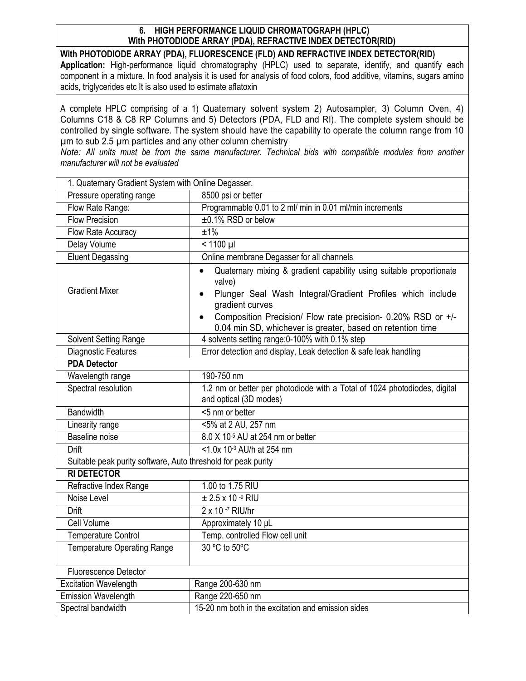## **6. HIGH PERFORMANCE LIQUID CHROMATOGRAPH (HPLC) With PHOTODIODE ARRAY (PDA), REFRACTIVE INDEX DETECTOR(RID)**

**With PHOTODIODE ARRAY (PDA), FLUORESCENCE (FLD) AND REFRACTIVE INDEX DETECTOR(RID) Application:** High-performance liquid chromatography (HPLC) used to separate, identify, and quantify each component in a mixture. In food analysis it is used for analysis of food colors, food additive, vitamins, sugars amino acids, triglycerides etc It is also used to estimate aflatoxin

A complete HPLC comprising of a 1) Quaternary solvent system 2) Autosampler, 3) Column Oven, 4) Columns C18 & C8 RP Columns and 5) Detectors (PDA, FLD and RI). The complete system should be controlled by single software. The system should have the capability to operate the column range from 10 µm to sub 2.5 µm particles and any other column chemistry

*Note: All units must be from the same manufacturer. Technical bids with compatible modules from another manufacturer will not be evaluated* 

| 1. Quaternary Gradient System with Online Degasser.           |                                                                                                                                                                                                                                                                        |  |
|---------------------------------------------------------------|------------------------------------------------------------------------------------------------------------------------------------------------------------------------------------------------------------------------------------------------------------------------|--|
| Pressure operating range                                      | 8500 psi or better                                                                                                                                                                                                                                                     |  |
| Flow Rate Range:                                              | Programmable 0.01 to 2 ml/ min in 0.01 ml/min increments                                                                                                                                                                                                               |  |
| <b>Flow Precision</b>                                         | ±0.1% RSD or below                                                                                                                                                                                                                                                     |  |
| Flow Rate Accuracy                                            | ±1%                                                                                                                                                                                                                                                                    |  |
| Delay Volume                                                  | $\frac{1}{2}$ 1100 µl                                                                                                                                                                                                                                                  |  |
| <b>Eluent Degassing</b>                                       | Online membrane Degasser for all channels                                                                                                                                                                                                                              |  |
| <b>Gradient Mixer</b>                                         | Quaternary mixing & gradient capability using suitable proportionate<br>$\bullet$<br>valve)<br>Plunger Seal Wash Integral/Gradient Profiles which include<br>$\bullet$<br>gradient curves<br>Composition Precision/ Flow rate precision- 0.20% RSD or +/-<br>$\bullet$ |  |
|                                                               | 0.04 min SD, whichever is greater, based on retention time                                                                                                                                                                                                             |  |
| Solvent Setting Range                                         | 4 solvents setting range: 0-100% with 0.1% step                                                                                                                                                                                                                        |  |
| <b>Diagnostic Features</b>                                    | Error detection and display, Leak detection & safe leak handling                                                                                                                                                                                                       |  |
| <b>PDA Detector</b>                                           |                                                                                                                                                                                                                                                                        |  |
| Wavelength range                                              | 190-750 nm                                                                                                                                                                                                                                                             |  |
| Spectral resolution                                           | 1.2 nm or better per photodiode with a Total of 1024 photodiodes, digital<br>and optical (3D modes)                                                                                                                                                                    |  |
| <b>Bandwidth</b>                                              | <5 nm or better                                                                                                                                                                                                                                                        |  |
| Linearity range                                               | <5% at 2 AU, 257 nm                                                                                                                                                                                                                                                    |  |
| Baseline noise                                                | 8.0 X 10 <sup>-5</sup> AU at 254 nm or better                                                                                                                                                                                                                          |  |
| <b>Drift</b>                                                  | <1.0x 10-3 AU/h at 254 nm                                                                                                                                                                                                                                              |  |
| Suitable peak purity software, Auto threshold for peak purity |                                                                                                                                                                                                                                                                        |  |
| <b>RI DETECTOR</b>                                            |                                                                                                                                                                                                                                                                        |  |
| Refractive Index Range                                        | 1.00 to 1.75 RIU                                                                                                                                                                                                                                                       |  |
| Noise Level                                                   | $\pm 2.5 \times 10^{-9}$ RIU                                                                                                                                                                                                                                           |  |
| Drift                                                         | 2 x 10 -7 RIU/hr                                                                                                                                                                                                                                                       |  |
| Cell Volume                                                   | Approximately 10 µL                                                                                                                                                                                                                                                    |  |
| <b>Temperature Control</b>                                    | Temp. controlled Flow cell unit                                                                                                                                                                                                                                        |  |
| <b>Temperature Operating Range</b>                            | 30 °C to 50°C                                                                                                                                                                                                                                                          |  |
| <b>Fluorescence Detector</b>                                  |                                                                                                                                                                                                                                                                        |  |
| <b>Excitation Wavelength</b>                                  | Range 200-630 nm                                                                                                                                                                                                                                                       |  |
| <b>Emission Wavelength</b>                                    | Range 220-650 nm                                                                                                                                                                                                                                                       |  |
| Spectral bandwidth                                            | 15-20 nm both in the excitation and emission sides                                                                                                                                                                                                                     |  |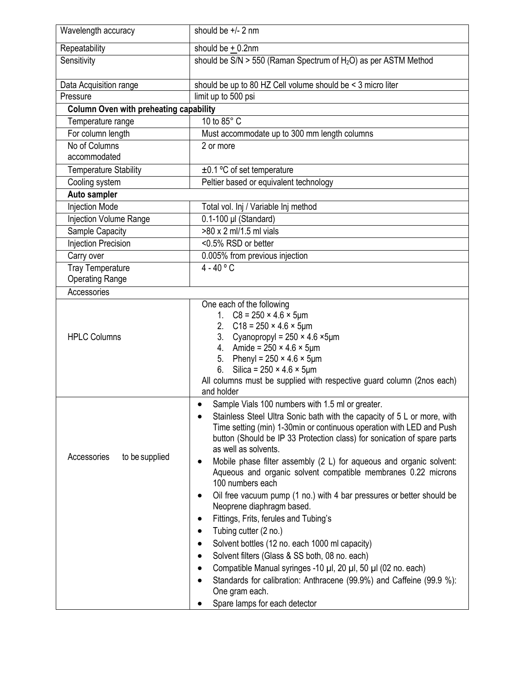| Wavelength accuracy                           | should be $+/- 2$ nm                                                                                                                                                                                                                                                                                                                                                                                                                                                                                                                                                                                                                                                                                                                                                                                                                                                                                                                                                                                                     |
|-----------------------------------------------|--------------------------------------------------------------------------------------------------------------------------------------------------------------------------------------------------------------------------------------------------------------------------------------------------------------------------------------------------------------------------------------------------------------------------------------------------------------------------------------------------------------------------------------------------------------------------------------------------------------------------------------------------------------------------------------------------------------------------------------------------------------------------------------------------------------------------------------------------------------------------------------------------------------------------------------------------------------------------------------------------------------------------|
| Repeatability                                 | should be $+$ 0.2nm                                                                                                                                                                                                                                                                                                                                                                                                                                                                                                                                                                                                                                                                                                                                                                                                                                                                                                                                                                                                      |
| Sensitivity                                   | should be $S/N > 550$ (Raman Spectrum of $H_2O$ ) as per ASTM Method                                                                                                                                                                                                                                                                                                                                                                                                                                                                                                                                                                                                                                                                                                                                                                                                                                                                                                                                                     |
| Data Acquisition range                        | should be up to 80 HZ Cell volume should be < 3 micro liter                                                                                                                                                                                                                                                                                                                                                                                                                                                                                                                                                                                                                                                                                                                                                                                                                                                                                                                                                              |
| Pressure                                      | limit up to 500 psi                                                                                                                                                                                                                                                                                                                                                                                                                                                                                                                                                                                                                                                                                                                                                                                                                                                                                                                                                                                                      |
| <b>Column Oven with preheating capability</b> |                                                                                                                                                                                                                                                                                                                                                                                                                                                                                                                                                                                                                                                                                                                                                                                                                                                                                                                                                                                                                          |
| Temperature range                             | 10 to 85° C                                                                                                                                                                                                                                                                                                                                                                                                                                                                                                                                                                                                                                                                                                                                                                                                                                                                                                                                                                                                              |
| For column length                             | Must accommodate up to 300 mm length columns                                                                                                                                                                                                                                                                                                                                                                                                                                                                                                                                                                                                                                                                                                                                                                                                                                                                                                                                                                             |
| No of Columns<br>accommodated                 | 2 or more                                                                                                                                                                                                                                                                                                                                                                                                                                                                                                                                                                                                                                                                                                                                                                                                                                                                                                                                                                                                                |
| <b>Temperature Stability</b>                  | $\pm$ 0.1 °C of set temperature                                                                                                                                                                                                                                                                                                                                                                                                                                                                                                                                                                                                                                                                                                                                                                                                                                                                                                                                                                                          |
| Cooling system                                | Peltier based or equivalent technology                                                                                                                                                                                                                                                                                                                                                                                                                                                                                                                                                                                                                                                                                                                                                                                                                                                                                                                                                                                   |
| <b>Auto sampler</b>                           |                                                                                                                                                                                                                                                                                                                                                                                                                                                                                                                                                                                                                                                                                                                                                                                                                                                                                                                                                                                                                          |
| <b>Injection Mode</b>                         | Total vol. Inj / Variable Inj method                                                                                                                                                                                                                                                                                                                                                                                                                                                                                                                                                                                                                                                                                                                                                                                                                                                                                                                                                                                     |
| <b>Injection Volume Range</b>                 | 0.1-100 µl (Standard)                                                                                                                                                                                                                                                                                                                                                                                                                                                                                                                                                                                                                                                                                                                                                                                                                                                                                                                                                                                                    |
| Sample Capacity                               | >80 x 2 ml/1.5 ml vials                                                                                                                                                                                                                                                                                                                                                                                                                                                                                                                                                                                                                                                                                                                                                                                                                                                                                                                                                                                                  |
| <b>Injection Precision</b>                    | <0.5% RSD or better                                                                                                                                                                                                                                                                                                                                                                                                                                                                                                                                                                                                                                                                                                                                                                                                                                                                                                                                                                                                      |
| Carry over                                    | 0.005% from previous injection                                                                                                                                                                                                                                                                                                                                                                                                                                                                                                                                                                                                                                                                                                                                                                                                                                                                                                                                                                                           |
| <b>Tray Temperature</b>                       | $4 - 40 °C$                                                                                                                                                                                                                                                                                                                                                                                                                                                                                                                                                                                                                                                                                                                                                                                                                                                                                                                                                                                                              |
| <b>Operating Range</b>                        |                                                                                                                                                                                                                                                                                                                                                                                                                                                                                                                                                                                                                                                                                                                                                                                                                                                                                                                                                                                                                          |
| Accessories                                   | One each of the following                                                                                                                                                                                                                                                                                                                                                                                                                                                                                                                                                                                                                                                                                                                                                                                                                                                                                                                                                                                                |
| <b>HPLC Columns</b>                           | 1. $C8 = 250 \times 4.6 \times 5 \mu m$<br>2. $C18 = 250 \times 4.6 \times 5 \mu m$<br>3. Cyanopropyl = $250 \times 4.6 \times 5 \mu m$<br>4. Amide = $250 \times 4.6 \times 5 \mu m$<br>5. Phenyl = $250 \times 4.6 \times 5 \mu m$<br>Silica = $250 \times 4.6 \times 5 \mu m$<br>6.<br>All columns must be supplied with respective guard column (2nos each)<br>and holder                                                                                                                                                                                                                                                                                                                                                                                                                                                                                                                                                                                                                                            |
| Accessories<br>to be supplied                 | Sample Vials 100 numbers with 1.5 ml or greater.<br>$\bullet$<br>Stainless Steel Ultra Sonic bath with the capacity of 5 L or more, with<br>Time setting (min) 1-30min or continuous operation with LED and Push<br>button (Should be IP 33 Protection class) for sonication of spare parts<br>as well as solvents.<br>Mobile phase filter assembly (2 L) for aqueous and organic solvent:<br>Aqueous and organic solvent compatible membranes 0.22 microns<br>100 numbers each<br>Oil free vacuum pump (1 no.) with 4 bar pressures or better should be<br>Neoprene diaphragm based.<br>Fittings, Frits, ferules and Tubing's<br>$\bullet$<br>Tubing cutter (2 no.)<br>$\bullet$<br>Solvent bottles (12 no. each 1000 ml capacity)<br>$\bullet$<br>Solvent filters (Glass & SS both, 08 no. each)<br>$\bullet$<br>Compatible Manual syringes -10 µl, 20 µl, 50 µl (02 no. each)<br>$\bullet$<br>Standards for calibration: Anthracene (99.9%) and Caffeine (99.9 %):<br>One gram each.<br>Spare lamps for each detector |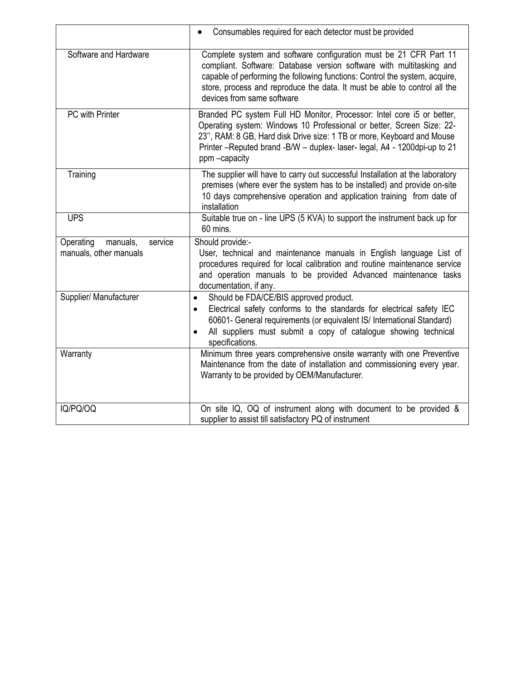|                                                            | Consumables required for each detector must be provided                                                                                                                                                                                                                                                                             |
|------------------------------------------------------------|-------------------------------------------------------------------------------------------------------------------------------------------------------------------------------------------------------------------------------------------------------------------------------------------------------------------------------------|
| Software and Hardware                                      | Complete system and software configuration must be 21 CFR Part 11<br>compliant. Software: Database version software with multitasking and<br>capable of performing the following functions: Control the system, acquire,<br>store, process and reproduce the data. It must be able to control all the<br>devices from same software |
| <b>PC</b> with Printer                                     | Branded PC system Full HD Monitor, Processor: Intel core i5 or better,<br>Operating system: Windows 10 Professional or better, Screen Size: 22-<br>23", RAM: 8 GB, Hard disk Drive size: 1 TB or more, Keyboard and Mouse<br>Printer -Reputed brand -B/W - duplex- laser- legal, A4 - 1200dpi-up to 21<br>ppm-capacity              |
| Training                                                   | The supplier will have to carry out successful Installation at the laboratory<br>premises (where ever the system has to be installed) and provide on-site<br>10 days comprehensive operation and application training from date of<br>installation                                                                                  |
| <b>UPS</b>                                                 | Suitable true on - line UPS (5 KVA) to support the instrument back up for<br>60 mins.                                                                                                                                                                                                                                               |
| Operating<br>manuals,<br>service<br>manuals, other manuals | Should provide:-<br>User, technical and maintenance manuals in English language List of<br>procedures required for local calibration and routine maintenance service<br>and operation manuals to be provided Advanced maintenance tasks<br>documentation, if any.                                                                   |
| Supplier/ Manufacturer                                     | Should be FDA/CE/BIS approved product.<br>$\bullet$<br>Electrical safety conforms to the standards for electrical safety IEC<br>$\bullet$<br>60601- General requirements (or equivalent IS/ International Standard)<br>All suppliers must submit a copy of catalogue showing technical<br>$\bullet$<br>specifications.              |
| Warranty                                                   | Minimum three years comprehensive onsite warranty with one Preventive<br>Maintenance from the date of installation and commissioning every year.<br>Warranty to be provided by OEM/Manufacturer.                                                                                                                                    |
| IQ/PQ/OQ                                                   | On site IQ, OQ of instrument along with document to be provided &<br>supplier to assist till satisfactory PQ of instrument                                                                                                                                                                                                          |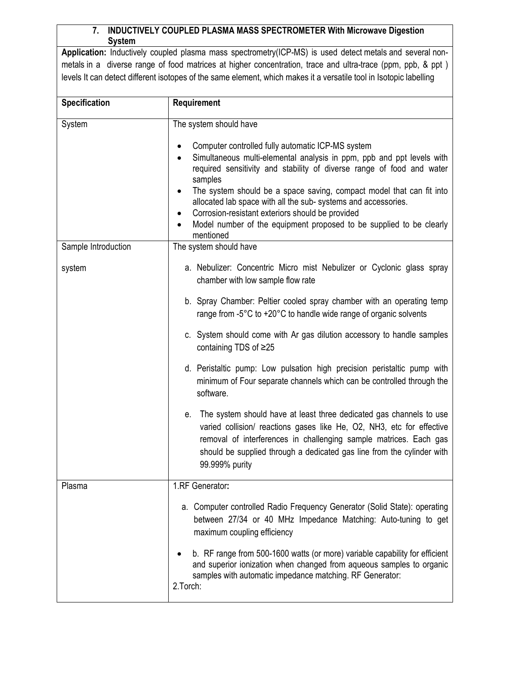## **7. INDUCTIVELY COUPLED PLASMA MASS SPECTROMETER With Microwave Digestion System**

**Application:** Inductively coupled plasma mass spectrometry(ICP-MS) is used detect metals and several nonmetals in a diverse range of food matrices at higher concentration, trace and ultra-trace (ppm, ppb, & ppt ) levels It can detect different isotopes of the same element, which makes it a versatile tool in Isotopic labelling

| <b>Specification</b> | Requirement                                                                                                                                                                                                                                                                                                                                                                                                                                                                                                                                              |
|----------------------|----------------------------------------------------------------------------------------------------------------------------------------------------------------------------------------------------------------------------------------------------------------------------------------------------------------------------------------------------------------------------------------------------------------------------------------------------------------------------------------------------------------------------------------------------------|
| System               | The system should have<br>Computer controlled fully automatic ICP-MS system<br>$\bullet$<br>Simultaneous multi-elemental analysis in ppm, ppb and ppt levels with<br>required sensitivity and stability of diverse range of food and water<br>samples<br>The system should be a space saving, compact model that can fit into<br>allocated lab space with all the sub-systems and accessories.<br>Corrosion-resistant exteriors should be provided<br>٠<br>Model number of the equipment proposed to be supplied to be clearly<br>$\bullet$<br>mentioned |
| Sample Introduction  | The system should have                                                                                                                                                                                                                                                                                                                                                                                                                                                                                                                                   |
| system               | a. Nebulizer: Concentric Micro mist Nebulizer or Cyclonic glass spray<br>chamber with low sample flow rate                                                                                                                                                                                                                                                                                                                                                                                                                                               |
|                      | b. Spray Chamber: Peltier cooled spray chamber with an operating temp<br>range from -5°C to +20°C to handle wide range of organic solvents                                                                                                                                                                                                                                                                                                                                                                                                               |
|                      | c. System should come with Ar gas dilution accessory to handle samples<br>containing TDS of ≥25                                                                                                                                                                                                                                                                                                                                                                                                                                                          |
|                      | d. Peristaltic pump: Low pulsation high precision peristaltic pump with<br>minimum of Four separate channels which can be controlled through the<br>software.                                                                                                                                                                                                                                                                                                                                                                                            |
|                      | e. The system should have at least three dedicated gas channels to use<br>varied collision/ reactions gases like He, O2, NH3, etc for effective<br>removal of interferences in challenging sample matrices. Each gas<br>should be supplied through a dedicated gas line from the cylinder with<br>99.999% purity                                                                                                                                                                                                                                         |
| Plasma               | 1.RF Generator:                                                                                                                                                                                                                                                                                                                                                                                                                                                                                                                                          |
|                      | a. Computer controlled Radio Frequency Generator (Solid State): operating<br>between 27/34 or 40 MHz Impedance Matching: Auto-tuning to get<br>maximum coupling efficiency                                                                                                                                                                                                                                                                                                                                                                               |
|                      | b. RF range from 500-1600 watts (or more) variable capability for efficient<br>and superior ionization when changed from aqueous samples to organic<br>samples with automatic impedance matching. RF Generator:<br>2. Torch:                                                                                                                                                                                                                                                                                                                             |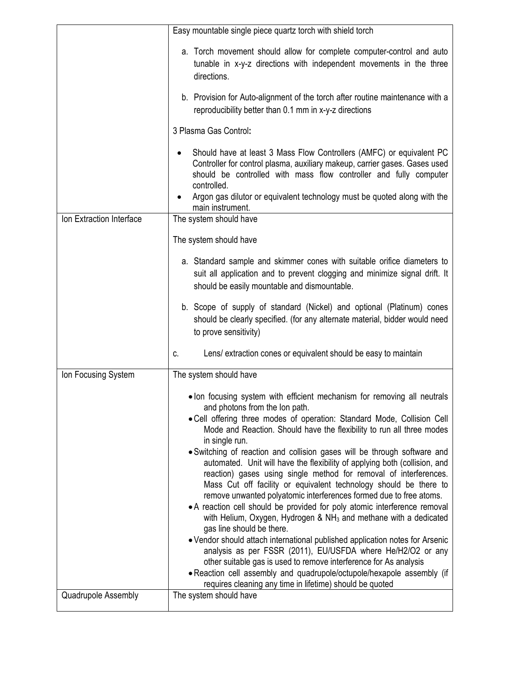|                          | Easy mountable single piece quartz torch with shield torch                                                                                                                                                                                                                                                                                                                                                                                                                                                                                                                                                                                                                                                                                                                                                                                                                                                                                                                                                                                                                                                                                                                                                     |
|--------------------------|----------------------------------------------------------------------------------------------------------------------------------------------------------------------------------------------------------------------------------------------------------------------------------------------------------------------------------------------------------------------------------------------------------------------------------------------------------------------------------------------------------------------------------------------------------------------------------------------------------------------------------------------------------------------------------------------------------------------------------------------------------------------------------------------------------------------------------------------------------------------------------------------------------------------------------------------------------------------------------------------------------------------------------------------------------------------------------------------------------------------------------------------------------------------------------------------------------------|
|                          | a. Torch movement should allow for complete computer-control and auto<br>tunable in x-y-z directions with independent movements in the three<br>directions.                                                                                                                                                                                                                                                                                                                                                                                                                                                                                                                                                                                                                                                                                                                                                                                                                                                                                                                                                                                                                                                    |
|                          | b. Provision for Auto-alignment of the torch after routine maintenance with a<br>reproducibility better than 0.1 mm in x-y-z directions                                                                                                                                                                                                                                                                                                                                                                                                                                                                                                                                                                                                                                                                                                                                                                                                                                                                                                                                                                                                                                                                        |
|                          | 3 Plasma Gas Control:                                                                                                                                                                                                                                                                                                                                                                                                                                                                                                                                                                                                                                                                                                                                                                                                                                                                                                                                                                                                                                                                                                                                                                                          |
|                          | Should have at least 3 Mass Flow Controllers (AMFC) or equivalent PC<br>Controller for control plasma, auxiliary makeup, carrier gases. Gases used<br>should be controlled with mass flow controller and fully computer<br>controlled.<br>Argon gas dilutor or equivalent technology must be quoted along with the<br>main instrument.                                                                                                                                                                                                                                                                                                                                                                                                                                                                                                                                                                                                                                                                                                                                                                                                                                                                         |
| Ion Extraction Interface | The system should have                                                                                                                                                                                                                                                                                                                                                                                                                                                                                                                                                                                                                                                                                                                                                                                                                                                                                                                                                                                                                                                                                                                                                                                         |
|                          | The system should have                                                                                                                                                                                                                                                                                                                                                                                                                                                                                                                                                                                                                                                                                                                                                                                                                                                                                                                                                                                                                                                                                                                                                                                         |
|                          | a. Standard sample and skimmer cones with suitable orifice diameters to<br>suit all application and to prevent clogging and minimize signal drift. It<br>should be easily mountable and dismountable.                                                                                                                                                                                                                                                                                                                                                                                                                                                                                                                                                                                                                                                                                                                                                                                                                                                                                                                                                                                                          |
|                          | b. Scope of supply of standard (Nickel) and optional (Platinum) cones<br>should be clearly specified. (for any alternate material, bidder would need<br>to prove sensitivity)                                                                                                                                                                                                                                                                                                                                                                                                                                                                                                                                                                                                                                                                                                                                                                                                                                                                                                                                                                                                                                  |
|                          | Lens/ extraction cones or equivalent should be easy to maintain<br>C.                                                                                                                                                                                                                                                                                                                                                                                                                                                                                                                                                                                                                                                                                                                                                                                                                                                                                                                                                                                                                                                                                                                                          |
| Ion Focusing System      | The system should have                                                                                                                                                                                                                                                                                                                                                                                                                                                                                                                                                                                                                                                                                                                                                                                                                                                                                                                                                                                                                                                                                                                                                                                         |
|                          | . Ion focusing system with efficient mechanism for removing all neutrals<br>and photons from the lon path.<br>. Cell offering three modes of operation: Standard Mode, Collision Cell<br>Mode and Reaction. Should have the flexibility to run all three modes<br>in single run.<br>· Switching of reaction and collision gases will be through software and<br>automated. Unit will have the flexibility of applying both (collision, and<br>reaction) gases using single method for removal of interferences.<br>Mass Cut off facility or equivalent technology should be there to<br>remove unwanted polyatomic interferences formed due to free atoms.<br>• A reaction cell should be provided for poly atomic interference removal<br>with Helium, Oxygen, Hydrogen & NH <sub>3</sub> and methane with a dedicated<br>gas line should be there.<br>. Vendor should attach international published application notes for Arsenic<br>analysis as per FSSR (2011), EU/USFDA where He/H2/O2 or any<br>other suitable gas is used to remove interference for As analysis<br>. Reaction cell assembly and quadrupole/octupole/hexapole assembly (if<br>requires cleaning any time in lifetime) should be quoted |
| Quadrupole Assembly      | The system should have                                                                                                                                                                                                                                                                                                                                                                                                                                                                                                                                                                                                                                                                                                                                                                                                                                                                                                                                                                                                                                                                                                                                                                                         |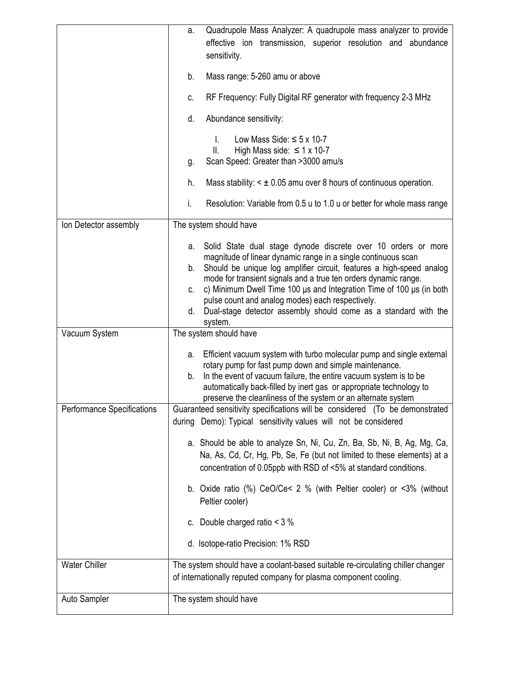|                                   | Quadrupole Mass Analyzer: A quadrupole mass analyzer to provide<br>а.<br>effective ion transmission, superior resolution and abundance<br>sensitivity.                                                                                                                                                                                                                                                                                                                                                                |
|-----------------------------------|-----------------------------------------------------------------------------------------------------------------------------------------------------------------------------------------------------------------------------------------------------------------------------------------------------------------------------------------------------------------------------------------------------------------------------------------------------------------------------------------------------------------------|
|                                   | Mass range: 5-260 amu or above<br>b.                                                                                                                                                                                                                                                                                                                                                                                                                                                                                  |
|                                   | RF Frequency: Fully Digital RF generator with frequency 2-3 MHz<br>c.                                                                                                                                                                                                                                                                                                                                                                                                                                                 |
|                                   | Abundance sensitivity:<br>d.                                                                                                                                                                                                                                                                                                                                                                                                                                                                                          |
|                                   | Low Mass Side: $\leq$ 5 x 10-7<br>T.<br>High Mass side: $\leq 1 \times 10-7$<br>Ш.<br>Scan Speed: Greater than >3000 amu/s<br>g.                                                                                                                                                                                                                                                                                                                                                                                      |
|                                   | Mass stability: $\leq \pm 0.05$ amu over 8 hours of continuous operation.<br>h.                                                                                                                                                                                                                                                                                                                                                                                                                                       |
|                                   | Resolution: Variable from 0.5 u to 1.0 u or better for whole mass range<br>i.                                                                                                                                                                                                                                                                                                                                                                                                                                         |
| Ion Detector assembly             | The system should have                                                                                                                                                                                                                                                                                                                                                                                                                                                                                                |
|                                   | Solid State dual stage dynode discrete over 10 orders or more<br>а.<br>magnitude of linear dynamic range in a single continuous scan<br>Should be unique log amplifier circuit, features a high-speed analog<br>b.<br>mode for transient signals and a true ten orders dynamic range.<br>c) Minimum Dwell Time 100 $\mu$ s and Integration Time of 100 $\mu$ s (in both<br>C.<br>pulse count and analog modes) each respectively.<br>Dual-stage detector assembly should come as a standard with the<br>d.<br>system. |
| Vacuum System                     | The system should have                                                                                                                                                                                                                                                                                                                                                                                                                                                                                                |
|                                   | Efficient vacuum system with turbo molecular pump and single external<br>а.<br>rotary pump for fast pump down and simple maintenance.<br>In the event of vacuum failure, the entire vacuum system is to be<br>b.<br>automatically back-filled by inert gas or appropriate technology to<br>preserve the cleanliness of the system or an alternate system                                                                                                                                                              |
| <b>Performance Specifications</b> | Guaranteed sensitivity specifications will be considered (To be demonstrated<br>during Demo): Typical sensitivity values will not be considered                                                                                                                                                                                                                                                                                                                                                                       |
|                                   | a. Should be able to analyze Sn, Ni, Cu, Zn, Ba, Sb, Ni, B, Ag, Mg, Ca,<br>Na, As, Cd, Cr, Hg, Pb, Se, Fe (but not limited to these elements) at a<br>concentration of 0.05ppb with RSD of <5% at standard conditions.                                                                                                                                                                                                                                                                                                |
|                                   | b. Oxide ratio (%) CeO/Ce< 2 % (with Peltier cooler) or <3% (without<br>Peltier cooler)                                                                                                                                                                                                                                                                                                                                                                                                                               |
|                                   | c. Double charged ratio $<$ 3 %                                                                                                                                                                                                                                                                                                                                                                                                                                                                                       |
|                                   | d. Isotope-ratio Precision: 1% RSD                                                                                                                                                                                                                                                                                                                                                                                                                                                                                    |
| <b>Water Chiller</b>              | The system should have a coolant-based suitable re-circulating chiller changer<br>of internationally reputed company for plasma component cooling.                                                                                                                                                                                                                                                                                                                                                                    |
| Auto Sampler                      | The system should have                                                                                                                                                                                                                                                                                                                                                                                                                                                                                                |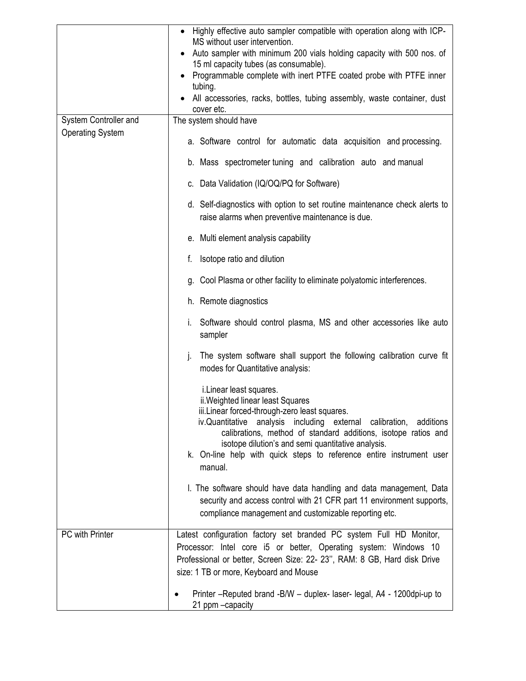|                         | Highly effective auto sampler compatible with operation along with ICP-<br>MS without user intervention.<br>Auto sampler with minimum 200 vials holding capacity with 500 nos. of<br>٠                                                                                                                                                                                                             |  |  |  |  |  |  |
|-------------------------|----------------------------------------------------------------------------------------------------------------------------------------------------------------------------------------------------------------------------------------------------------------------------------------------------------------------------------------------------------------------------------------------------|--|--|--|--|--|--|
|                         | 15 ml capacity tubes (as consumable).<br>Programmable complete with inert PTFE coated probe with PTFE inner                                                                                                                                                                                                                                                                                        |  |  |  |  |  |  |
|                         | tubing.<br>All accessories, racks, bottles, tubing assembly, waste container, dust<br>cover etc.                                                                                                                                                                                                                                                                                                   |  |  |  |  |  |  |
| System Controller and   | The system should have                                                                                                                                                                                                                                                                                                                                                                             |  |  |  |  |  |  |
| <b>Operating System</b> | a. Software control for automatic data acquisition and processing.                                                                                                                                                                                                                                                                                                                                 |  |  |  |  |  |  |
|                         | b. Mass spectrometer tuning and calibration auto and manual                                                                                                                                                                                                                                                                                                                                        |  |  |  |  |  |  |
|                         | c. Data Validation (IQ/OQ/PQ for Software)                                                                                                                                                                                                                                                                                                                                                         |  |  |  |  |  |  |
|                         | d. Self-diagnostics with option to set routine maintenance check alerts to<br>raise alarms when preventive maintenance is due.                                                                                                                                                                                                                                                                     |  |  |  |  |  |  |
|                         | e. Multi element analysis capability                                                                                                                                                                                                                                                                                                                                                               |  |  |  |  |  |  |
|                         | Isotope ratio and dilution                                                                                                                                                                                                                                                                                                                                                                         |  |  |  |  |  |  |
|                         | g. Cool Plasma or other facility to eliminate polyatomic interferences.                                                                                                                                                                                                                                                                                                                            |  |  |  |  |  |  |
|                         | h. Remote diagnostics                                                                                                                                                                                                                                                                                                                                                                              |  |  |  |  |  |  |
|                         | Software should control plasma, MS and other accessories like auto<br>İ.<br>sampler                                                                                                                                                                                                                                                                                                                |  |  |  |  |  |  |
|                         | The system software shall support the following calibration curve fit<br>j.<br>modes for Quantitative analysis:                                                                                                                                                                                                                                                                                    |  |  |  |  |  |  |
|                         | i. Linear least squares.<br>ii. Weighted linear least Squares<br>iii.Linear forced-through-zero least squares.<br>iv.Quantitative<br>analysis including external calibration, additions<br>calibrations, method of standard additions, isotope ratios and<br>isotope dilution's and semi quantitative analysis.<br>k. On-line help with quick steps to reference entire instrument user<br>manual. |  |  |  |  |  |  |
|                         | I. The software should have data handling and data management, Data<br>security and access control with 21 CFR part 11 environment supports,<br>compliance management and customizable reporting etc.                                                                                                                                                                                              |  |  |  |  |  |  |
| PC with Printer         | Latest configuration factory set branded PC system Full HD Monitor,<br>Processor: Intel core i5 or better, Operating system: Windows 10<br>Professional or better, Screen Size: 22- 23", RAM: 8 GB, Hard disk Drive<br>size: 1 TB or more, Keyboard and Mouse                                                                                                                                      |  |  |  |  |  |  |
|                         | Printer - Reputed brand - B/W - duplex - laser - legal, A4 - 1200 dpi-up to<br>21 ppm - capacity                                                                                                                                                                                                                                                                                                   |  |  |  |  |  |  |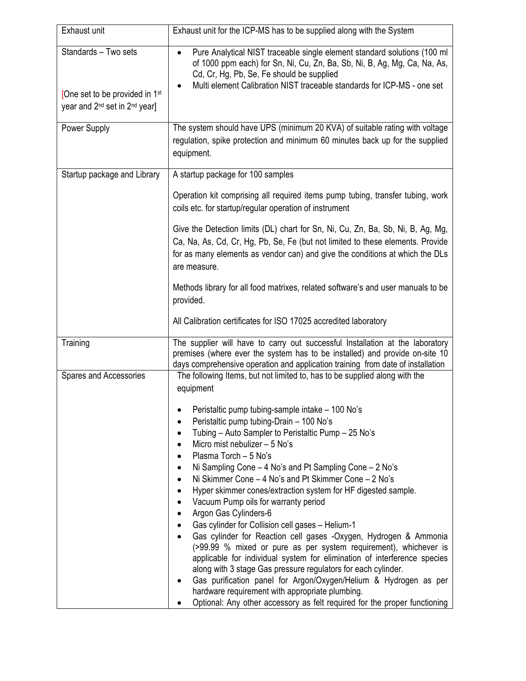| Exhaust unit                                                                                                                | Exhaust unit for the ICP-MS has to be supplied along with the System                                                                                                                                                                                                                                                                                                                                                                                                                                                                                                                                                                 |
|-----------------------------------------------------------------------------------------------------------------------------|--------------------------------------------------------------------------------------------------------------------------------------------------------------------------------------------------------------------------------------------------------------------------------------------------------------------------------------------------------------------------------------------------------------------------------------------------------------------------------------------------------------------------------------------------------------------------------------------------------------------------------------|
| Standards - Two sets<br>[One set to be provided in 1 <sup>st</sup><br>year and 2 <sup>nd</sup> set in 2 <sup>nd</sup> year] | Pure Analytical NIST traceable single element standard solutions (100 ml<br>of 1000 ppm each) for Sn, Ni, Cu, Zn, Ba, Sb, Ni, B, Ag, Mg, Ca, Na, As,<br>Cd, Cr, Hg, Pb, Se, Fe should be supplied<br>Multi element Calibration NIST traceable standards for ICP-MS - one set                                                                                                                                                                                                                                                                                                                                                         |
| Power Supply                                                                                                                | The system should have UPS (minimum 20 KVA) of suitable rating with voltage<br>regulation, spike protection and minimum 60 minutes back up for the supplied<br>equipment.                                                                                                                                                                                                                                                                                                                                                                                                                                                            |
| Startup package and Library                                                                                                 | A startup package for 100 samples                                                                                                                                                                                                                                                                                                                                                                                                                                                                                                                                                                                                    |
|                                                                                                                             | Operation kit comprising all required items pump tubing, transfer tubing, work<br>coils etc. for startup/regular operation of instrument                                                                                                                                                                                                                                                                                                                                                                                                                                                                                             |
|                                                                                                                             | Give the Detection limits (DL) chart for Sn, Ni, Cu, Zn, Ba, Sb, Ni, B, Ag, Mg,<br>Ca, Na, As, Cd, Cr, Hg, Pb, Se, Fe (but not limited to these elements. Provide<br>for as many elements as vendor can) and give the conditions at which the DLs<br>are measure.                                                                                                                                                                                                                                                                                                                                                                    |
|                                                                                                                             | Methods library for all food matrixes, related software's and user manuals to be<br>provided.                                                                                                                                                                                                                                                                                                                                                                                                                                                                                                                                        |
|                                                                                                                             | All Calibration certificates for ISO 17025 accredited laboratory                                                                                                                                                                                                                                                                                                                                                                                                                                                                                                                                                                     |
| Training<br>Spares and Accessories                                                                                          | The supplier will have to carry out successful Installation at the laboratory<br>premises (where ever the system has to be installed) and provide on-site 10<br>days comprehensive operation and application training from date of installation<br>The following Items, but not limited to, has to be supplied along with the                                                                                                                                                                                                                                                                                                        |
|                                                                                                                             | equipment<br>Peristaltic pump tubing-sample intake - 100 No's<br>Peristaltic pump tubing-Drain - 100 No's<br>Tubing - Auto Sampler to Peristaltic Pump - 25 No's<br>Micro mist nebulizer - 5 No's<br>$\bullet$<br>Plasma Torch - 5 No's<br>$\bullet$<br>Ni Sampling Cone - 4 No's and Pt Sampling Cone - 2 No's<br>Ni Skimmer Cone - 4 No's and Pt Skimmer Cone - 2 No's<br>$\bullet$<br>Hyper skimmer cones/extraction system for HF digested sample.<br>$\bullet$                                                                                                                                                                  |
|                                                                                                                             | Vacuum Pump oils for warranty period<br>$\bullet$<br>Argon Gas Cylinders-6<br>$\bullet$<br>Gas cylinder for Collision cell gases - Helium-1<br>Gas cylinder for Reaction cell gases -Oxygen, Hydrogen & Ammonia<br>(>99.99 % mixed or pure as per system requirement), whichever is<br>applicable for individual system for elimination of interference species<br>along with 3 stage Gas pressure regulators for each cylinder.<br>Gas purification panel for Argon/Oxygen/Helium & Hydrogen as per<br>hardware requirement with appropriate plumbing.<br>Optional: Any other accessory as felt required for the proper functioning |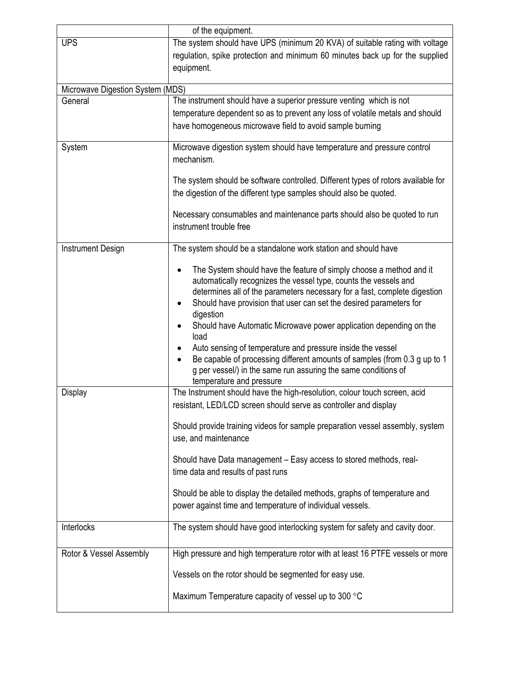|                                  | of the equipment.                                                                                                                               |  |  |  |
|----------------------------------|-------------------------------------------------------------------------------------------------------------------------------------------------|--|--|--|
| <b>UPS</b>                       | The system should have UPS (minimum 20 KVA) of suitable rating with voltage                                                                     |  |  |  |
|                                  | regulation, spike protection and minimum 60 minutes back up for the supplied                                                                    |  |  |  |
|                                  | equipment.                                                                                                                                      |  |  |  |
| Microwave Digestion System (MDS) |                                                                                                                                                 |  |  |  |
| General                          | The instrument should have a superior pressure venting which is not                                                                             |  |  |  |
|                                  | temperature dependent so as to prevent any loss of volatile metals and should                                                                   |  |  |  |
|                                  | have homogeneous microwave field to avoid sample burning                                                                                        |  |  |  |
|                                  |                                                                                                                                                 |  |  |  |
| System                           | Microwave digestion system should have temperature and pressure control<br>mechanism.                                                           |  |  |  |
|                                  | The system should be software controlled. Different types of rotors available for                                                               |  |  |  |
|                                  | the digestion of the different type samples should also be quoted.                                                                              |  |  |  |
|                                  | Necessary consumables and maintenance parts should also be quoted to run                                                                        |  |  |  |
|                                  | instrument trouble free                                                                                                                         |  |  |  |
| <b>Instrument Design</b>         | The system should be a standalone work station and should have                                                                                  |  |  |  |
|                                  | The System should have the feature of simply choose a method and it                                                                             |  |  |  |
|                                  | automatically recognizes the vessel type, counts the vessels and                                                                                |  |  |  |
|                                  | determines all of the parameters necessary for a fast, complete digestion<br>Should have provision that user can set the desired parameters for |  |  |  |
|                                  | digestion                                                                                                                                       |  |  |  |
|                                  | Should have Automatic Microwave power application depending on the<br>load                                                                      |  |  |  |
|                                  | Auto sensing of temperature and pressure inside the vessel                                                                                      |  |  |  |
|                                  | Be capable of processing different amounts of samples (from 0.3 g up to 1                                                                       |  |  |  |
|                                  | g per vessel/) in the same run assuring the same conditions of<br>temperature and pressure                                                      |  |  |  |
| Display                          | The Instrument should have the high-resolution, colour touch screen, acid                                                                       |  |  |  |
|                                  | resistant, LED/LCD screen should serve as controller and display                                                                                |  |  |  |
|                                  | Should provide training videos for sample preparation vessel assembly, system                                                                   |  |  |  |
|                                  | use, and maintenance                                                                                                                            |  |  |  |
|                                  | Should have Data management - Easy access to stored methods, real-                                                                              |  |  |  |
|                                  | time data and results of past runs                                                                                                              |  |  |  |
|                                  | Should be able to display the detailed methods, graphs of temperature and                                                                       |  |  |  |
|                                  | power against time and temperature of individual vessels.                                                                                       |  |  |  |
| Interlocks                       | The system should have good interlocking system for safety and cavity door.                                                                     |  |  |  |
| Rotor & Vessel Assembly          | High pressure and high temperature rotor with at least 16 PTFE vessels or more                                                                  |  |  |  |
|                                  | Vessels on the rotor should be segmented for easy use.                                                                                          |  |  |  |
|                                  |                                                                                                                                                 |  |  |  |
|                                  | Maximum Temperature capacity of vessel up to 300 °C                                                                                             |  |  |  |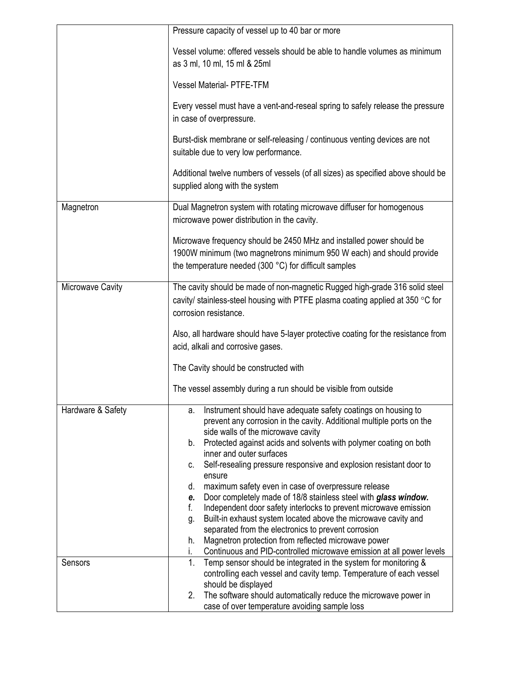|                   | Pressure capacity of vessel up to 40 bar or more                                                                                                                                                                                                                                                                                                                                                                                                                                                                                                                                                                                                                                                                                                                                                                                                                       |  |  |  |  |  |  |
|-------------------|------------------------------------------------------------------------------------------------------------------------------------------------------------------------------------------------------------------------------------------------------------------------------------------------------------------------------------------------------------------------------------------------------------------------------------------------------------------------------------------------------------------------------------------------------------------------------------------------------------------------------------------------------------------------------------------------------------------------------------------------------------------------------------------------------------------------------------------------------------------------|--|--|--|--|--|--|
|                   | Vessel volume: offered vessels should be able to handle volumes as minimum<br>as 3 ml, 10 ml, 15 ml & 25ml                                                                                                                                                                                                                                                                                                                                                                                                                                                                                                                                                                                                                                                                                                                                                             |  |  |  |  |  |  |
|                   | <b>Vessel Material- PTFE-TFM</b>                                                                                                                                                                                                                                                                                                                                                                                                                                                                                                                                                                                                                                                                                                                                                                                                                                       |  |  |  |  |  |  |
|                   | Every vessel must have a vent-and-reseal spring to safely release the pressure<br>in case of overpressure.                                                                                                                                                                                                                                                                                                                                                                                                                                                                                                                                                                                                                                                                                                                                                             |  |  |  |  |  |  |
|                   | Burst-disk membrane or self-releasing / continuous venting devices are not<br>suitable due to very low performance.                                                                                                                                                                                                                                                                                                                                                                                                                                                                                                                                                                                                                                                                                                                                                    |  |  |  |  |  |  |
|                   | Additional twelve numbers of vessels (of all sizes) as specified above should be<br>supplied along with the system                                                                                                                                                                                                                                                                                                                                                                                                                                                                                                                                                                                                                                                                                                                                                     |  |  |  |  |  |  |
| Magnetron         | Dual Magnetron system with rotating microwave diffuser for homogenous<br>microwave power distribution in the cavity.                                                                                                                                                                                                                                                                                                                                                                                                                                                                                                                                                                                                                                                                                                                                                   |  |  |  |  |  |  |
|                   | Microwave frequency should be 2450 MHz and installed power should be<br>1900W minimum (two magnetrons minimum 950 W each) and should provide<br>the temperature needed (300 °C) for difficult samples                                                                                                                                                                                                                                                                                                                                                                                                                                                                                                                                                                                                                                                                  |  |  |  |  |  |  |
| Microwave Cavity  | The cavity should be made of non-magnetic Rugged high-grade 316 solid steel<br>cavity/ stainless-steel housing with PTFE plasma coating applied at 350 °C for<br>corrosion resistance.<br>Also, all hardware should have 5-layer protective coating for the resistance from<br>acid, alkali and corrosive gases.                                                                                                                                                                                                                                                                                                                                                                                                                                                                                                                                                       |  |  |  |  |  |  |
|                   | The Cavity should be constructed with<br>The vessel assembly during a run should be visible from outside                                                                                                                                                                                                                                                                                                                                                                                                                                                                                                                                                                                                                                                                                                                                                               |  |  |  |  |  |  |
| Hardware & Safety | a. Instrument should have adequate safety coatings on housing to<br>prevent any corrosion in the cavity. Additional multiple ports on the<br>side walls of the microwave cavity<br>Protected against acids and solvents with polymer coating on both<br>b.<br>inner and outer surfaces<br>Self-resealing pressure responsive and explosion resistant door to<br>C.<br>ensure<br>maximum safety even in case of overpressure release<br>d.<br>Door completely made of 18/8 stainless steel with glass window.<br>e.<br>f.<br>Independent door safety interlocks to prevent microwave emission<br>Built-in exhaust system located above the microwave cavity and<br>g.<br>separated from the electronics to prevent corrosion<br>Magnetron protection from reflected microwave power<br>h.<br>Continuous and PID-controlled microwave emission at all power levels<br>i. |  |  |  |  |  |  |
| Sensors           | 1 <sub>1</sub><br>Temp sensor should be integrated in the system for monitoring &<br>controlling each vessel and cavity temp. Temperature of each vessel<br>should be displayed<br>The software should automatically reduce the microwave power in<br>2.<br>case of over temperature avoiding sample loss                                                                                                                                                                                                                                                                                                                                                                                                                                                                                                                                                              |  |  |  |  |  |  |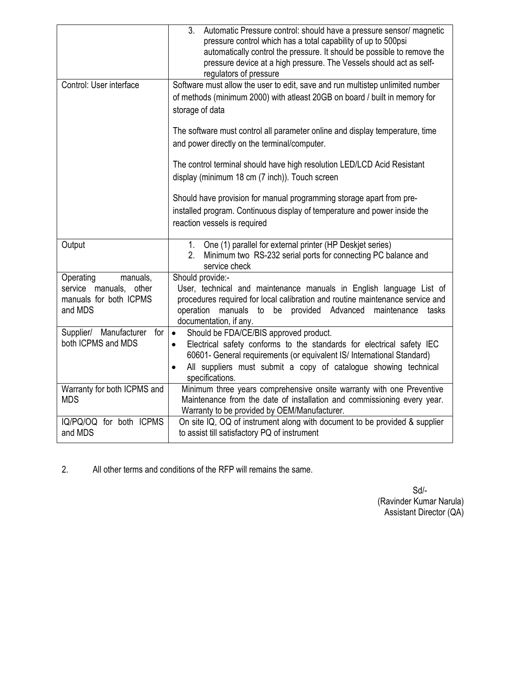|                                                                                      | 3.<br>Automatic Pressure control: should have a pressure sensor/ magnetic<br>pressure control which has a total capability of up to 500psi<br>automatically control the pressure. It should be possible to remove the<br>pressure device at a high pressure. The Vessels should act as self-<br>regulators of pressure |  |  |  |  |
|--------------------------------------------------------------------------------------|------------------------------------------------------------------------------------------------------------------------------------------------------------------------------------------------------------------------------------------------------------------------------------------------------------------------|--|--|--|--|
| Control: User interface                                                              | Software must allow the user to edit, save and run multistep unlimited number<br>of methods (minimum 2000) with atleast 20GB on board / built in memory for<br>storage of data                                                                                                                                         |  |  |  |  |
|                                                                                      | The software must control all parameter online and display temperature, time<br>and power directly on the terminal/computer.                                                                                                                                                                                           |  |  |  |  |
|                                                                                      | The control terminal should have high resolution LED/LCD Acid Resistant<br>display (minimum 18 cm (7 inch)). Touch screen                                                                                                                                                                                              |  |  |  |  |
|                                                                                      | Should have provision for manual programming storage apart from pre-<br>installed program. Continuous display of temperature and power inside the<br>reaction vessels is required                                                                                                                                      |  |  |  |  |
| Output                                                                               | One (1) parallel for external printer (HP Deskjet series)<br>1.<br>Minimum two RS-232 serial ports for connecting PC balance and<br>2.<br>service check                                                                                                                                                                |  |  |  |  |
| Operating<br>manuals,<br>service manuals, other<br>manuals for both ICPMS<br>and MDS | Should provide:-<br>User, technical and maintenance manuals in English language List of<br>procedures required for local calibration and routine maintenance service and<br>manuals to be provided Advanced<br>operation<br>maintenance<br>tasks<br>documentation, if any.                                             |  |  |  |  |
| Supplier/ Manufacturer for<br>both ICPMS and MDS                                     | Should be FDA/CE/BIS approved product.<br>$\bullet$<br>Electrical safety conforms to the standards for electrical safety IEC<br>$\bullet$<br>60601- General requirements (or equivalent IS/ International Standard)<br>All suppliers must submit a copy of catalogue showing technical<br>$\bullet$<br>specifications. |  |  |  |  |
| Warranty for both ICPMS and<br><b>MDS</b>                                            | Minimum three years comprehensive onsite warranty with one Preventive<br>Maintenance from the date of installation and commissioning every year.<br>Warranty to be provided by OEM/Manufacturer.                                                                                                                       |  |  |  |  |
| IQ/PQ/OQ for both ICPMS<br>and MDS                                                   | On site IQ, OQ of instrument along with document to be provided & supplier<br>to assist till satisfactory PQ of instrument                                                                                                                                                                                             |  |  |  |  |

2. All other terms and conditions of the RFP will remains the same.

 Sd/- (Ravinder Kumar Narula) Assistant Director (QA)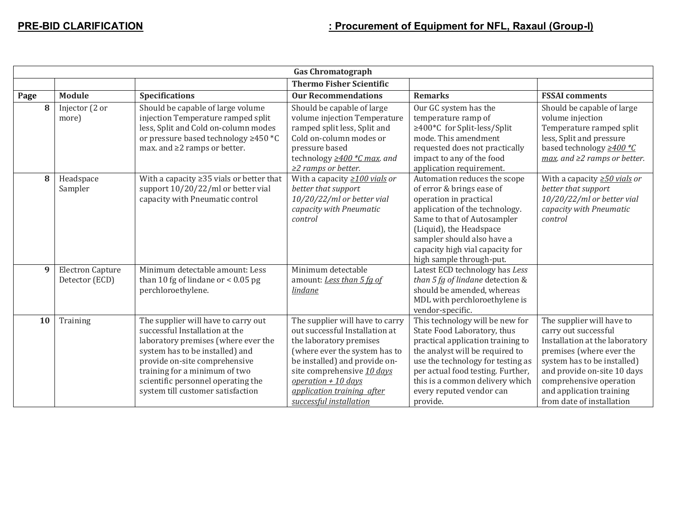|      | <b>Gas Chromatograph</b>                  |                                                                                                                                                                                                                                                                                              |                                                                                                                                                                                                                                                                               |                                                                                                                                                                                                                                                                                             |                                                                                                                                                                                                                                                                   |  |  |
|------|-------------------------------------------|----------------------------------------------------------------------------------------------------------------------------------------------------------------------------------------------------------------------------------------------------------------------------------------------|-------------------------------------------------------------------------------------------------------------------------------------------------------------------------------------------------------------------------------------------------------------------------------|---------------------------------------------------------------------------------------------------------------------------------------------------------------------------------------------------------------------------------------------------------------------------------------------|-------------------------------------------------------------------------------------------------------------------------------------------------------------------------------------------------------------------------------------------------------------------|--|--|
|      | <b>Thermo Fisher Scientific</b>           |                                                                                                                                                                                                                                                                                              |                                                                                                                                                                                                                                                                               |                                                                                                                                                                                                                                                                                             |                                                                                                                                                                                                                                                                   |  |  |
| Page | <b>Module</b>                             | <b>Specifications</b>                                                                                                                                                                                                                                                                        | <b>Our Recommendations</b>                                                                                                                                                                                                                                                    | <b>Remarks</b>                                                                                                                                                                                                                                                                              | <b>FSSAI</b> comments                                                                                                                                                                                                                                             |  |  |
| 8    | Injector (2 or<br>more)                   | Should be capable of large volume<br>injection Temperature ramped split<br>less, Split and Cold on-column modes<br>or pressure based technology ≥450 *C<br>max. and $\geq 2$ ramps or better.                                                                                                | Should be capable of large<br>volume injection Temperature<br>ramped split less, Split and<br>Cold on-column modes or<br>pressure based<br>technology $\geq$ 400 $\text{*}$ C max. and<br>$\geq$ 2 ramps or better.                                                           | Our GC system has the<br>temperature ramp of<br>≥400 ℃ for Split-less/Split<br>mode. This amendment<br>requested does not practically<br>impact to any of the food<br>application requirement.                                                                                              | Should be capable of large<br>volume injection<br>Temperature ramped split<br>less, Split and pressure<br>based technology $\geq$ 400 $^*C$<br>max. and $\geq$ ramps or better.                                                                                   |  |  |
| 8    | Headspace<br>Sampler                      | With a capacity $\geq$ 35 vials or better that<br>support 10/20/22/ml or better vial<br>capacity with Pneumatic control                                                                                                                                                                      | With a capacity $\geq$ 100 vials or<br>better that support<br>10/20/22/ml or better vial<br>capacity with Pneumatic<br>control                                                                                                                                                | Automation reduces the scope<br>of error & brings ease of<br>operation in practical<br>application of the technology.<br>Same to that of Autosampler<br>(Liquid), the Headspace<br>sampler should also have a<br>capacity high vial capacity for<br>high sample through-put.                | With a capacity $\geq 50$ vials or<br>better that support<br>10/20/22/ml or better vial<br>capacity with Pneumatic<br>control                                                                                                                                     |  |  |
| 9    | <b>Electron Capture</b><br>Detector (ECD) | Minimum detectable amount: Less<br>than 10 fg of lindane or $< 0.05$ pg<br>perchloroethylene.                                                                                                                                                                                                | Minimum detectable<br>amount: Less than 5 fg of<br><i>lindane</i>                                                                                                                                                                                                             | Latest ECD technology has Less<br>than 5 fg of lindane detection &<br>should be amended, whereas<br>MDL with perchloroethylene is<br>vendor-specific.                                                                                                                                       |                                                                                                                                                                                                                                                                   |  |  |
| 10   | Training                                  | The supplier will have to carry out<br>successful Installation at the<br>laboratory premises (where ever the<br>system has to be installed) and<br>provide on-site comprehensive<br>training for a minimum of two<br>scientific personnel operating the<br>system till customer satisfaction | The supplier will have to carry<br>out successful Installation at<br>the laboratory premises<br>(where ever the system has to<br>be installed) and provide on-<br>site comprehensive 10 days<br>operation $+10$ days<br>application training after<br>successful installation | This technology will be new for<br>State Food Laboratory, thus<br>practical application training to<br>the analyst will be required to<br>use the technology for testing as<br>per actual food testing. Further,<br>this is a common delivery which<br>every reputed vendor can<br>provide. | The supplier will have to<br>carry out successful<br>Installation at the laboratory<br>premises (where ever the<br>system has to be installed)<br>and provide on-site 10 days<br>comprehensive operation<br>and application training<br>from date of installation |  |  |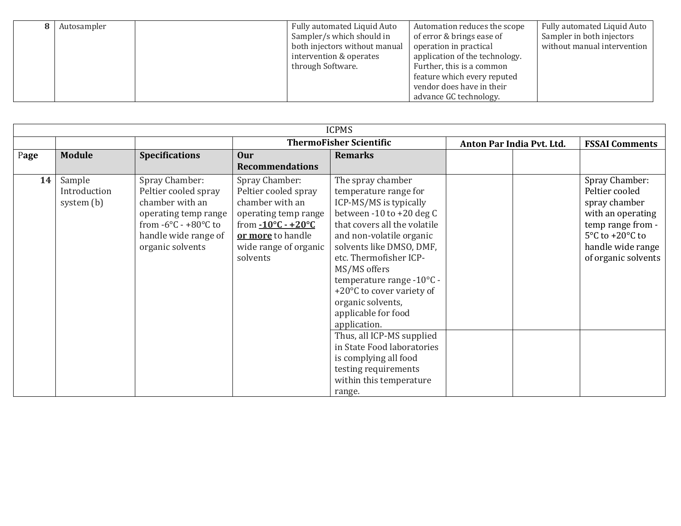| Autosampler | Fully automated Liquid Auto   | Automation reduces the scope   | Fully automated Liquid Auto |
|-------------|-------------------------------|--------------------------------|-----------------------------|
|             | Sampler/s which should in     | of error & brings ease of      | Sampler in both injectors   |
|             | both injectors without manual | operation in practical         | without manual intervention |
|             | intervention & operates       | application of the technology. |                             |
|             | through Software.             | Further, this is a common      |                             |
|             |                               | feature which every reputed    |                             |
|             |                               | vendor does have in their      |                             |
|             |                               | advance GC technology.         |                             |

| <b>ICPMS</b> |                                      |                                                                                                                                                                           |                                                                                                                                                                                   |                                                                                                                                                                                                                                                                                                                                                                                                                                                                                                               |                           |  |                                                                                                                                                                                 |
|--------------|--------------------------------------|---------------------------------------------------------------------------------------------------------------------------------------------------------------------------|-----------------------------------------------------------------------------------------------------------------------------------------------------------------------------------|---------------------------------------------------------------------------------------------------------------------------------------------------------------------------------------------------------------------------------------------------------------------------------------------------------------------------------------------------------------------------------------------------------------------------------------------------------------------------------------------------------------|---------------------------|--|---------------------------------------------------------------------------------------------------------------------------------------------------------------------------------|
|              |                                      |                                                                                                                                                                           | <b>ThermoFisher Scientific</b>                                                                                                                                                    |                                                                                                                                                                                                                                                                                                                                                                                                                                                                                                               | Anton Par India Pvt. Ltd. |  | <b>FSSAI Comments</b>                                                                                                                                                           |
| Page         | <b>Module</b>                        | <b>Specifications</b>                                                                                                                                                     | Our                                                                                                                                                                               | <b>Remarks</b>                                                                                                                                                                                                                                                                                                                                                                                                                                                                                                |                           |  |                                                                                                                                                                                 |
|              |                                      |                                                                                                                                                                           | <b>Recommendations</b>                                                                                                                                                            |                                                                                                                                                                                                                                                                                                                                                                                                                                                                                                               |                           |  |                                                                                                                                                                                 |
| 14           | Sample<br>Introduction<br>system (b) | Spray Chamber:<br>Peltier cooled spray<br>chamber with an<br>operating temp range<br>from $-6^{\circ}$ C - $+80^{\circ}$ C to<br>handle wide range of<br>organic solvents | Spray Chamber:<br>Peltier cooled spray<br>chamber with an<br>operating temp range<br>from $-10\degree C - +20\degree C$<br>or more to handle<br>wide range of organic<br>solvents | The spray chamber<br>temperature range for<br>ICP-MS/MS is typically<br>between $-10$ to $+20$ deg C<br>that covers all the volatile<br>and non-volatile organic<br>solvents like DMSO, DMF,<br>etc. Thermofisher ICP-<br>MS/MS offers<br>temperature range -10°C -<br>+20°C to cover variety of<br>organic solvents,<br>applicable for food<br>application.<br>Thus, all ICP-MS supplied<br>in State Food laboratories<br>is complying all food<br>testing requirements<br>within this temperature<br>range. |                           |  | Spray Chamber:<br>Peltier cooled<br>spray chamber<br>with an operating<br>temp range from -<br>$5^{\circ}$ C to +20 $^{\circ}$ C to<br>handle wide range<br>of organic solvents |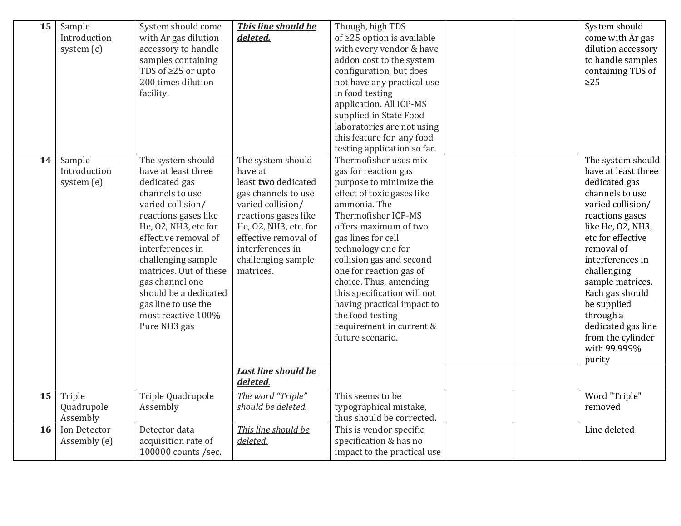| 15 | Sample<br>Introduction<br>system $(c)$ | System should come<br>with Ar gas dilution<br>accessory to handle<br>samples containing<br>TDS of ≥25 or upto<br>200 times dilution<br>facility.                                                                                                                                                                                                       | This line should be<br>deleted.                                                                                                                                                                                                                                      | Though, high TDS<br>of $\geq$ 25 option is available<br>with every vendor & have<br>addon cost to the system<br>configuration, but does<br>not have any practical use<br>in food testing<br>application. All ICP-MS<br>supplied in State Food<br>laboratories are not using<br>this feature for any food<br>testing application so far.                                                                                              | System should<br>come with Ar gas<br>dilution accessory<br>to handle samples<br>containing TDS of<br>$\geq$ 25                                                                                                                                                                                                                                          |
|----|----------------------------------------|--------------------------------------------------------------------------------------------------------------------------------------------------------------------------------------------------------------------------------------------------------------------------------------------------------------------------------------------------------|----------------------------------------------------------------------------------------------------------------------------------------------------------------------------------------------------------------------------------------------------------------------|--------------------------------------------------------------------------------------------------------------------------------------------------------------------------------------------------------------------------------------------------------------------------------------------------------------------------------------------------------------------------------------------------------------------------------------|---------------------------------------------------------------------------------------------------------------------------------------------------------------------------------------------------------------------------------------------------------------------------------------------------------------------------------------------------------|
| 14 | Sample<br>Introduction<br>system (e)   | The system should<br>have at least three<br>dedicated gas<br>channels to use<br>varied collision/<br>reactions gases like<br>He, O2, NH3, etc for<br>effective removal of<br>interferences in<br>challenging sample<br>matrices. Out of these<br>gas channel one<br>should be a dedicated<br>gas line to use the<br>most reactive 100%<br>Pure NH3 gas | The system should<br>have at<br>least <b>two</b> dedicated<br>gas channels to use<br>varied collision/<br>reactions gases like<br>He, O2, NH3, etc. for<br>effective removal of<br>interferences in<br>challenging sample<br>matrices.<br><b>Last line should be</b> | Thermofisher uses mix<br>gas for reaction gas<br>purpose to minimize the<br>effect of toxic gases like<br>ammonia. The<br>Thermofisher ICP-MS<br>offers maximum of two<br>gas lines for cell<br>technology one for<br>collision gas and second<br>one for reaction gas of<br>choice. Thus, amending<br>this specification will not<br>having practical impact to<br>the food testing<br>requirement in current &<br>future scenario. | The system should<br>have at least three<br>dedicated gas<br>channels to use<br>varied collision/<br>reactions gases<br>like He, 02, NH3,<br>etc for effective<br>removal of<br>interferences in<br>challenging<br>sample matrices.<br>Each gas should<br>be supplied<br>through a<br>dedicated gas line<br>from the cylinder<br>with 99.999%<br>purity |
|    |                                        |                                                                                                                                                                                                                                                                                                                                                        | deleted.                                                                                                                                                                                                                                                             |                                                                                                                                                                                                                                                                                                                                                                                                                                      |                                                                                                                                                                                                                                                                                                                                                         |
| 15 | Triple<br>Quadrupole<br>Assembly       | Triple Quadrupole<br>Assembly                                                                                                                                                                                                                                                                                                                          | The word "Triple"<br>should be deleted.                                                                                                                                                                                                                              | This seems to be<br>typographical mistake,<br>thus should be corrected.                                                                                                                                                                                                                                                                                                                                                              | Word "Triple"<br>removed                                                                                                                                                                                                                                                                                                                                |
| 16 | Ion Detector<br>Assembly (e)           | Detector data<br>acquisition rate of<br>100000 counts /sec.                                                                                                                                                                                                                                                                                            | This line should be<br>deleted.                                                                                                                                                                                                                                      | This is vendor specific<br>specification & has no<br>impact to the practical use                                                                                                                                                                                                                                                                                                                                                     | Line deleted                                                                                                                                                                                                                                                                                                                                            |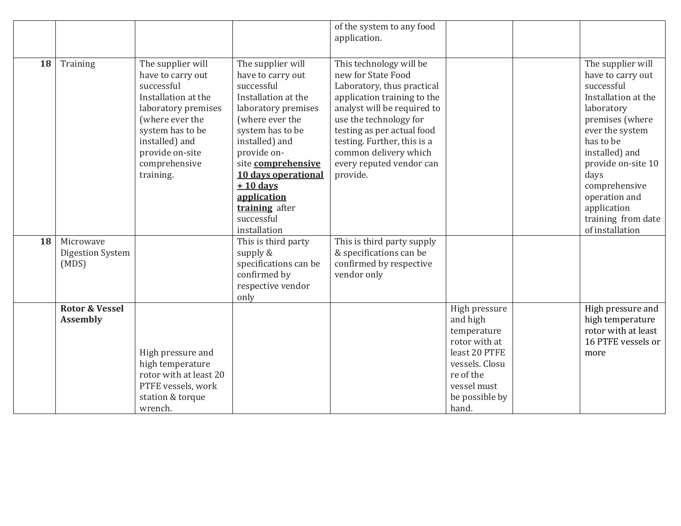|    |                                              |                                                                                                                                                                                                              |                                                                                                                                                                                                                                                                                                      | of the system to any food<br>application.                                                                                                                                                                                                                                                         |                                                                                              |                                                                                                                                                                                                                                                                                        |
|----|----------------------------------------------|--------------------------------------------------------------------------------------------------------------------------------------------------------------------------------------------------------------|------------------------------------------------------------------------------------------------------------------------------------------------------------------------------------------------------------------------------------------------------------------------------------------------------|---------------------------------------------------------------------------------------------------------------------------------------------------------------------------------------------------------------------------------------------------------------------------------------------------|----------------------------------------------------------------------------------------------|----------------------------------------------------------------------------------------------------------------------------------------------------------------------------------------------------------------------------------------------------------------------------------------|
|    |                                              |                                                                                                                                                                                                              |                                                                                                                                                                                                                                                                                                      |                                                                                                                                                                                                                                                                                                   |                                                                                              |                                                                                                                                                                                                                                                                                        |
| 18 | Training                                     | The supplier will<br>have to carry out<br>successful<br>Installation at the<br>laboratory premises<br>(where ever the<br>system has to be<br>installed) and<br>provide on-site<br>comprehensive<br>training. | The supplier will<br>have to carry out<br>successful<br>Installation at the<br>laboratory premises<br>(where ever the<br>system has to be<br>installed) and<br>provide on-<br>site comprehensive<br>10 days operational<br>$+10$ days<br>application<br>training after<br>successful<br>installation | This technology will be<br>new for State Food<br>Laboratory, thus practical<br>application training to the<br>analyst will be required to<br>use the technology for<br>testing as per actual food<br>testing. Further, this is a<br>common delivery which<br>every reputed vendor can<br>provide. |                                                                                              | The supplier will<br>have to carry out<br>successful<br>Installation at the<br>laboratory<br>premises (where<br>ever the system<br>has to be<br>installed) and<br>provide on-site 10<br>days<br>comprehensive<br>operation and<br>application<br>training from date<br>of installation |
| 18 | Microwave                                    |                                                                                                                                                                                                              | This is third party                                                                                                                                                                                                                                                                                  | This is third party supply                                                                                                                                                                                                                                                                        |                                                                                              |                                                                                                                                                                                                                                                                                        |
|    | Digestion System<br>(MDS)                    |                                                                                                                                                                                                              | supply $&$<br>specifications can be                                                                                                                                                                                                                                                                  | & specifications can be<br>confirmed by respective                                                                                                                                                                                                                                                |                                                                                              |                                                                                                                                                                                                                                                                                        |
|    |                                              |                                                                                                                                                                                                              | confirmed by                                                                                                                                                                                                                                                                                         | vendor only                                                                                                                                                                                                                                                                                       |                                                                                              |                                                                                                                                                                                                                                                                                        |
|    |                                              |                                                                                                                                                                                                              | respective vendor<br>only                                                                                                                                                                                                                                                                            |                                                                                                                                                                                                                                                                                                   |                                                                                              |                                                                                                                                                                                                                                                                                        |
|    | <b>Rotor &amp; Vessel</b><br><b>Assembly</b> | High pressure and<br>high temperature                                                                                                                                                                        |                                                                                                                                                                                                                                                                                                      |                                                                                                                                                                                                                                                                                                   | High pressure<br>and high<br>temperature<br>rotor with at<br>least 20 PTFE<br>vessels. Closu | High pressure and<br>high temperature<br>rotor with at least<br>16 PTFE vessels or<br>more                                                                                                                                                                                             |
|    |                                              | rotor with at least 20<br>PTFE vessels, work<br>station & torque<br>wrench.                                                                                                                                  |                                                                                                                                                                                                                                                                                                      |                                                                                                                                                                                                                                                                                                   | re of the<br>vessel must<br>be possible by<br>hand.                                          |                                                                                                                                                                                                                                                                                        |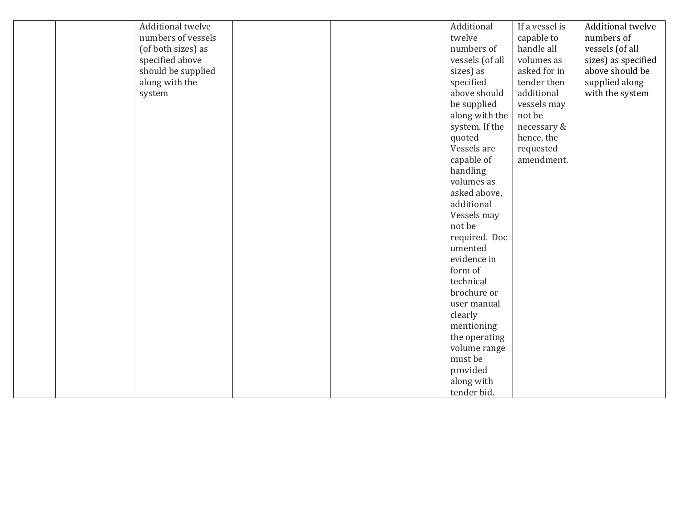|  | Additional twelve  |  | Additional      | If a vessel is | Additional twelve   |
|--|--------------------|--|-----------------|----------------|---------------------|
|  | numbers of vessels |  | twelve          |                | numbers of          |
|  |                    |  |                 | capable to     |                     |
|  | (of both sizes) as |  | numbers of      | handle all     | vessels (of all     |
|  | specified above    |  | vessels (of all | volumes as     | sizes) as specified |
|  | should be supplied |  | sizes) as       | asked for in   | above should be     |
|  | along with the     |  | specified       | tender then    | supplied along      |
|  | system             |  | above should    | additional     | with the system     |
|  |                    |  | be supplied     | vessels may    |                     |
|  |                    |  | along with the  | not be         |                     |
|  |                    |  | system. If the  | necessary &    |                     |
|  |                    |  | quoted          | hence, the     |                     |
|  |                    |  | Vessels are     | requested      |                     |
|  |                    |  | capable of      | amendment.     |                     |
|  |                    |  | handling        |                |                     |
|  |                    |  | volumes as      |                |                     |
|  |                    |  | asked above,    |                |                     |
|  |                    |  | additional      |                |                     |
|  |                    |  | Vessels may     |                |                     |
|  |                    |  | not be          |                |                     |
|  |                    |  | required. Doc   |                |                     |
|  |                    |  | umented         |                |                     |
|  |                    |  | evidence in     |                |                     |
|  |                    |  | form of         |                |                     |
|  |                    |  | technical       |                |                     |
|  |                    |  | brochure or     |                |                     |
|  |                    |  | user manual     |                |                     |
|  |                    |  |                 |                |                     |
|  |                    |  | clearly         |                |                     |
|  |                    |  | mentioning      |                |                     |
|  |                    |  | the operating   |                |                     |
|  |                    |  | volume range    |                |                     |
|  |                    |  | must be         |                |                     |
|  |                    |  | provided        |                |                     |
|  |                    |  | along with      |                |                     |
|  |                    |  | tender bid.     |                |                     |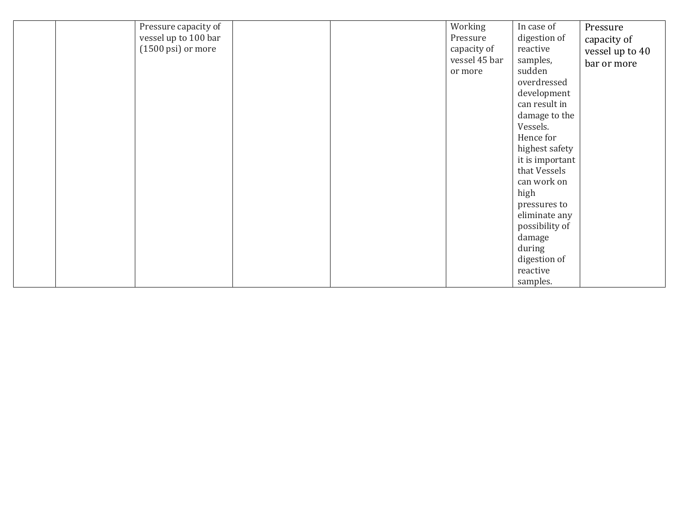|  | Pressure capacity of            |  | Working       | In case of      | Pressure        |
|--|---------------------------------|--|---------------|-----------------|-----------------|
|  | vessel up to 100 bar            |  | Pressure      | digestion of    | capacity of     |
|  | $(1500 \,\mathrm{psi})$ or more |  | capacity of   | reactive        | vessel up to 40 |
|  |                                 |  | vessel 45 bar | samples,        | bar or more     |
|  |                                 |  | or more       | sudden          |                 |
|  |                                 |  |               | overdressed     |                 |
|  |                                 |  |               | development     |                 |
|  |                                 |  |               | can result in   |                 |
|  |                                 |  |               | damage to the   |                 |
|  |                                 |  |               | Vessels.        |                 |
|  |                                 |  |               | Hence for       |                 |
|  |                                 |  |               | highest safety  |                 |
|  |                                 |  |               | it is important |                 |
|  |                                 |  |               | that Vessels    |                 |
|  |                                 |  |               | can work on     |                 |
|  |                                 |  |               | high            |                 |
|  |                                 |  |               | pressures to    |                 |
|  |                                 |  |               | eliminate any   |                 |
|  |                                 |  |               | possibility of  |                 |
|  |                                 |  |               | damage          |                 |
|  |                                 |  |               | during          |                 |
|  |                                 |  |               | digestion of    |                 |
|  |                                 |  |               | reactive        |                 |
|  |                                 |  |               | samples.        |                 |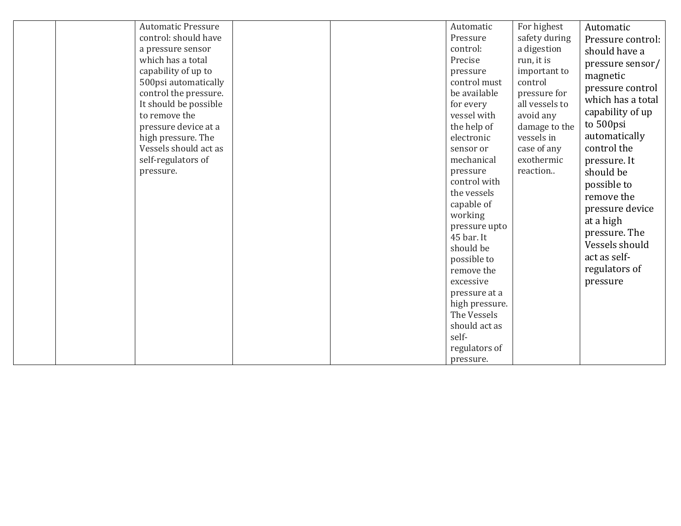| a pressure sensor<br>which has a total<br>capability of up to<br>500psi automatically<br>control the pressure.<br>It should be possible<br>to remove the<br>pressure device at a<br>high pressure. The<br>Vessels should act as<br>self-regulators of<br>pressure. |  | control:<br>Precise<br>pressure<br>control must<br>be available<br>for every<br>vessel with<br>the help of<br>electronic<br>sensor or<br>mechanical<br>pressure<br>control with<br>the vessels<br>capable of<br>working<br>pressure upto<br>45 bar. It<br>should be<br>possible to<br>remove the<br>excessive<br>pressure at a<br>high pressure.<br>The Vessels<br>should act as<br>self-<br>regulators of<br>pressure. | a digestion<br>run, it is<br>important to<br>control<br>pressure for<br>all vessels to<br>avoid any<br>damage to the<br>vessels in<br>case of any<br>exothermic<br>reaction | Pressure control:<br>should have a<br>pressure sensor/<br>magnetic<br>pressure control<br>which has a total<br>capability of up<br>to 500psi<br>automatically<br>control the<br>pressure. It<br>should be<br>possible to<br>remove the<br>pressure device<br>at a high<br>pressure. The<br>Vessels should<br>act as self-<br>regulators of<br>pressure |
|--------------------------------------------------------------------------------------------------------------------------------------------------------------------------------------------------------------------------------------------------------------------|--|-------------------------------------------------------------------------------------------------------------------------------------------------------------------------------------------------------------------------------------------------------------------------------------------------------------------------------------------------------------------------------------------------------------------------|-----------------------------------------------------------------------------------------------------------------------------------------------------------------------------|--------------------------------------------------------------------------------------------------------------------------------------------------------------------------------------------------------------------------------------------------------------------------------------------------------------------------------------------------------|
| <b>Automatic Pressure</b><br>control: should have                                                                                                                                                                                                                  |  | Automatic<br>Pressure                                                                                                                                                                                                                                                                                                                                                                                                   | For highest<br>safety during                                                                                                                                                | Automatic                                                                                                                                                                                                                                                                                                                                              |
|                                                                                                                                                                                                                                                                    |  |                                                                                                                                                                                                                                                                                                                                                                                                                         |                                                                                                                                                                             |                                                                                                                                                                                                                                                                                                                                                        |
|                                                                                                                                                                                                                                                                    |  |                                                                                                                                                                                                                                                                                                                                                                                                                         |                                                                                                                                                                             |                                                                                                                                                                                                                                                                                                                                                        |
|                                                                                                                                                                                                                                                                    |  |                                                                                                                                                                                                                                                                                                                                                                                                                         |                                                                                                                                                                             |                                                                                                                                                                                                                                                                                                                                                        |
|                                                                                                                                                                                                                                                                    |  |                                                                                                                                                                                                                                                                                                                                                                                                                         |                                                                                                                                                                             |                                                                                                                                                                                                                                                                                                                                                        |
|                                                                                                                                                                                                                                                                    |  |                                                                                                                                                                                                                                                                                                                                                                                                                         |                                                                                                                                                                             |                                                                                                                                                                                                                                                                                                                                                        |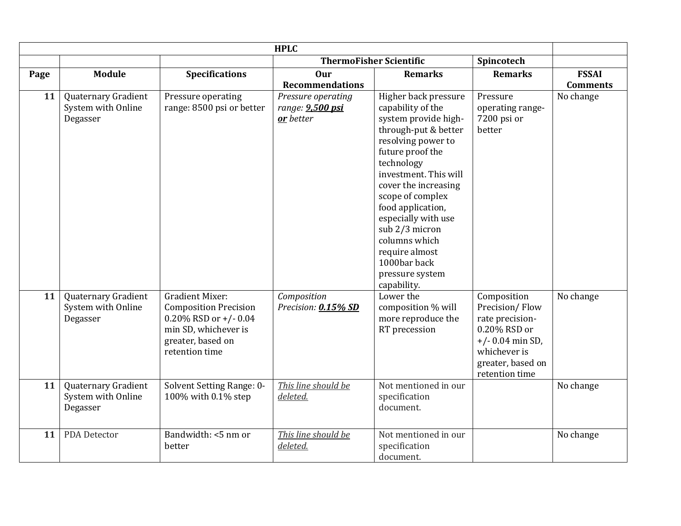| <b>HPLC</b> |                                                       |                                                                                                                                                 |                                                     |                                                                                                                                                                                                                                                                                                                                                                           |                                                                                                                                               |                 |
|-------------|-------------------------------------------------------|-------------------------------------------------------------------------------------------------------------------------------------------------|-----------------------------------------------------|---------------------------------------------------------------------------------------------------------------------------------------------------------------------------------------------------------------------------------------------------------------------------------------------------------------------------------------------------------------------------|-----------------------------------------------------------------------------------------------------------------------------------------------|-----------------|
|             |                                                       |                                                                                                                                                 |                                                     | <b>ThermoFisher Scientific</b>                                                                                                                                                                                                                                                                                                                                            | Spincotech                                                                                                                                    |                 |
| Page        | Module                                                | <b>Specifications</b>                                                                                                                           | Our                                                 | <b>Remarks</b>                                                                                                                                                                                                                                                                                                                                                            | <b>Remarks</b>                                                                                                                                | <b>FSSAI</b>    |
|             |                                                       |                                                                                                                                                 | <b>Recommendations</b>                              |                                                                                                                                                                                                                                                                                                                                                                           |                                                                                                                                               | <b>Comments</b> |
| 11          | Quaternary Gradient<br>System with Online<br>Degasser | Pressure operating<br>range: 8500 psi or better                                                                                                 | Pressure operating<br>range: 9,500 psi<br>or better | Higher back pressure<br>capability of the<br>system provide high-<br>through-put & better<br>resolving power to<br>future proof the<br>technology<br>investment. This will<br>cover the increasing<br>scope of complex<br>food application,<br>especially with use<br>sub 2/3 micron<br>columns which<br>require almost<br>1000bar back<br>pressure system<br>capability. | Pressure<br>operating range-<br>7200 psi or<br>better                                                                                         | No change       |
| 11          | Quaternary Gradient<br>System with Online<br>Degasser | <b>Gradient Mixer:</b><br><b>Composition Precision</b><br>0.20% RSD or $+/-0.04$<br>min SD, whichever is<br>greater, based on<br>retention time | Composition<br>Precision: 0.15% SD                  | Lower the<br>composition % will<br>more reproduce the<br>RT precession                                                                                                                                                                                                                                                                                                    | Composition<br>Precision/Flow<br>rate precision-<br>0.20% RSD or<br>$+/- 0.04$ min SD,<br>whichever is<br>greater, based on<br>retention time | No change       |
| 11          | Quaternary Gradient<br>System with Online<br>Degasser | Solvent Setting Range: 0-<br>100% with 0.1% step                                                                                                | This line should be<br>deleted.                     | Not mentioned in our<br>specification<br>document.                                                                                                                                                                                                                                                                                                                        |                                                                                                                                               | No change       |
| 11          | PDA Detector                                          | Bandwidth: <5 nm or<br>better                                                                                                                   | This line should be<br>deleted.                     | Not mentioned in our<br>specification<br>document.                                                                                                                                                                                                                                                                                                                        |                                                                                                                                               | No change       |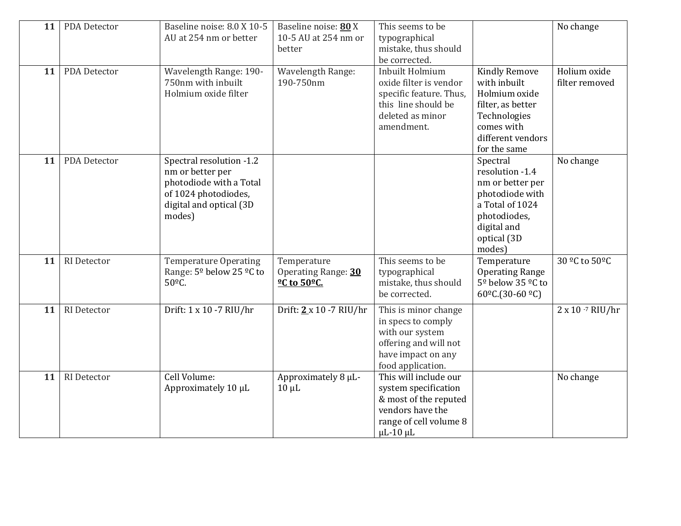| 11 | PDA Detector        | Baseline noise: 8.0 X 10-5<br>AU at 254 nm or better                                                                                 | Baseline noise: 80 X<br>10-5 AU at 254 nm or<br>better                                  | This seems to be<br>typographical<br>mistake, thus should<br>be corrected.                                                                 |                                                                                                                                               | No change                      |
|----|---------------------|--------------------------------------------------------------------------------------------------------------------------------------|-----------------------------------------------------------------------------------------|--------------------------------------------------------------------------------------------------------------------------------------------|-----------------------------------------------------------------------------------------------------------------------------------------------|--------------------------------|
| 11 | PDA Detector        | Wavelength Range: 190-<br>750nm with inbuilt<br>Holmium oxide filter                                                                 | Wavelength Range:<br>190-750nm                                                          | Inbuilt Holmium<br>oxide filter is vendor<br>specific feature. Thus,<br>this line should be<br>deleted as minor<br>amendment.              | <b>Kindly Remove</b><br>with inbuilt<br>Holmium oxide<br>filter, as better<br>Technologies<br>comes with<br>different vendors<br>for the same | Holium oxide<br>filter removed |
| 11 | <b>PDA Detector</b> | Spectral resolution -1.2<br>nm or better per<br>photodiode with a Total<br>of 1024 photodiodes,<br>digital and optical (3D<br>modes) |                                                                                         |                                                                                                                                            | Spectral<br>resolution -1.4<br>nm or better per<br>photodiode with<br>a Total of 1024<br>photodiodes,<br>digital and<br>optical (3D<br>modes) | No change                      |
| 11 | RI Detector         | <b>Temperature Operating</b><br>Range: 5 <sup>o</sup> below 25 <sup>o</sup> C to<br>50°C.                                            | Temperature<br>Operating Range: 30<br><b><u><sup>o</sup>C</u></b> to 50 <sup>o</sup> C. | This seems to be<br>typographical<br>mistake, thus should<br>be corrected.                                                                 | Temperature<br><b>Operating Range</b><br>5 <sup>°</sup> below 35 <sup>°</sup> C to<br>60 <sup>o</sup> C.(30-60 <sup>o</sup> C)                | 30 °C to 50°C                  |
| 11 | <b>RI</b> Detector  | Drift: 1 x 10 -7 RIU/hr                                                                                                              | Drift: $2 \times 10 - 7$ RIU/hr                                                         | This is minor change<br>in specs to comply<br>with our system<br>offering and will not<br>have impact on any<br>food application.          |                                                                                                                                               | $2 \times 10^{-7}$ RIU/hr      |
| 11 | RI Detector         | Cell Volume:<br>Approximately 10 µL                                                                                                  | Approximately 8 µL-<br>$10 \mu L$                                                       | This will include our<br>system specification<br>& most of the reputed<br>vendors have the<br>range of cell volume 8<br>$\mu$ L-10 $\mu$ L |                                                                                                                                               | No change                      |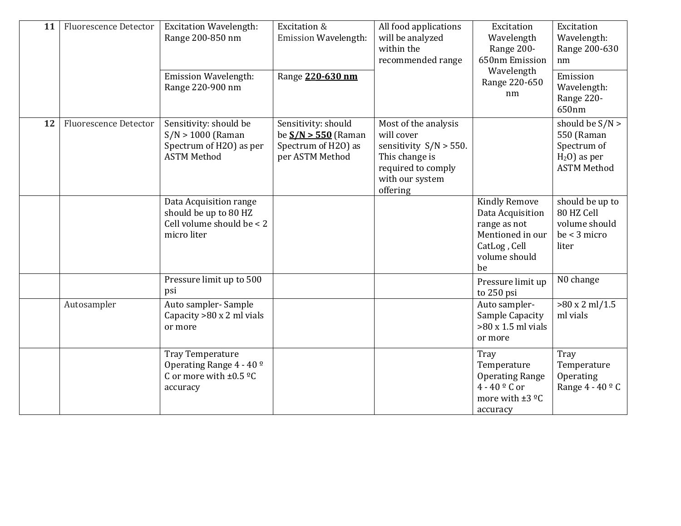| 11 | <b>Fluorescence Detector</b> | <b>Excitation Wavelength:</b><br>Range 200-850 nm<br><b>Emission Wavelength:</b>                   | Excitation &<br>Emission Wavelength:<br>Range 220-630 nm                               | All food applications<br>will be analyzed<br>within the<br>recommended range                                                           | Excitation<br>Wavelength<br>Range 200-<br>650nm Emission<br>Wavelength                                              | Excitation<br>Wavelength:<br>Range 200-630<br>nm<br>Emission                           |
|----|------------------------------|----------------------------------------------------------------------------------------------------|----------------------------------------------------------------------------------------|----------------------------------------------------------------------------------------------------------------------------------------|---------------------------------------------------------------------------------------------------------------------|----------------------------------------------------------------------------------------|
|    |                              | Range 220-900 nm                                                                                   |                                                                                        |                                                                                                                                        | Range 220-650<br>nm                                                                                                 | Wavelength:<br>Range 220-<br>650nm                                                     |
| 12 | <b>Fluorescence Detector</b> | Sensitivity: should be<br>$S/N > 1000$ (Raman<br>Spectrum of H2O) as per<br><b>ASTM Method</b>     | Sensitivity: should<br>be $S/N > 550$ (Raman<br>Spectrum of H2O) as<br>per ASTM Method | Most of the analysis<br>will cover<br>sensitivity $S/N > 550$ .<br>This change is<br>required to comply<br>with our system<br>offering |                                                                                                                     | should be $S/N >$<br>550 (Raman<br>Spectrum of<br>$H2O$ ) as per<br><b>ASTM Method</b> |
|    |                              | Data Acquisition range<br>should be up to 80 HZ<br>Cell volume should be < 2<br>micro liter        |                                                                                        |                                                                                                                                        | <b>Kindly Remove</b><br>Data Acquisition<br>range as not<br>Mentioned in our<br>CatLog, Cell<br>volume should<br>be | should be up to<br>80 HZ Cell<br>volume should<br>$be < 3$ micro<br>liter              |
|    |                              | Pressure limit up to 500<br>psi                                                                    |                                                                                        |                                                                                                                                        | Pressure limit up<br>to 250 psi                                                                                     | N0 change                                                                              |
|    | Autosampler                  | Auto sampler-Sample<br>Capacity $>80 \times 2$ ml vials<br>or more                                 |                                                                                        |                                                                                                                                        | Auto sampler-<br>Sample Capacity<br>$>80 \times 1.5$ ml vials<br>or more                                            | $>80 \times 2$ ml/1.5<br>ml vials                                                      |
|    |                              | Tray Temperature<br>Operating Range 4 - 40 <sup>o</sup><br>C or more with $\pm 0.5$ °C<br>accuracy |                                                                                        |                                                                                                                                        | Tray<br>Temperature<br><b>Operating Range</b><br>$4 - 40$ <sup>o</sup> C or<br>more with $\pm 3$ °C<br>accuracy     | Tray<br>Temperature<br>Operating<br>Range $4 - 40$ $\degree$ C                         |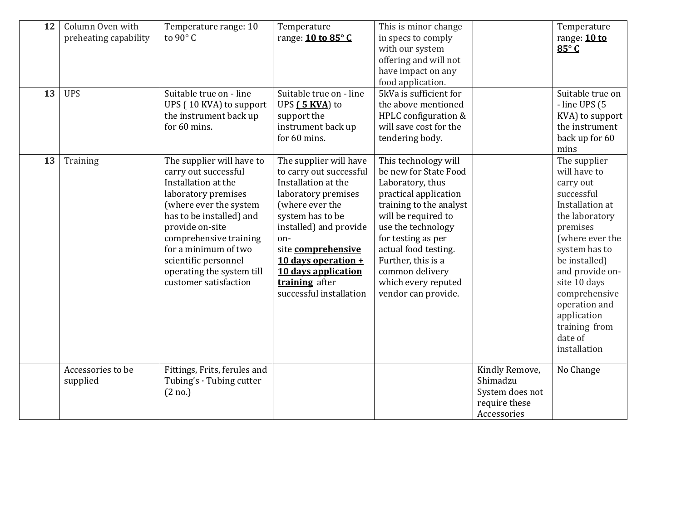| 12<br>13 | Column Oven with<br>preheating capability<br><b>UPS</b> | Temperature range: 10<br>to 90 $\degree$ C<br>Suitable true on - line                                                                                                                                                                                                                                    | Temperature<br>range: 10 to 85°C<br>Suitable true on - line                                                                                                                                                                                                                                | This is minor change<br>in specs to comply<br>with our system<br>offering and will not<br>have impact on any<br>food application.<br>5kVa is sufficient for                                                                                                                                             |                                                                               | Temperature<br>range: 10 to<br>$85^\circ$ C<br>Suitable true on                                                                                                                                                                                                                               |
|----------|---------------------------------------------------------|----------------------------------------------------------------------------------------------------------------------------------------------------------------------------------------------------------------------------------------------------------------------------------------------------------|--------------------------------------------------------------------------------------------------------------------------------------------------------------------------------------------------------------------------------------------------------------------------------------------|---------------------------------------------------------------------------------------------------------------------------------------------------------------------------------------------------------------------------------------------------------------------------------------------------------|-------------------------------------------------------------------------------|-----------------------------------------------------------------------------------------------------------------------------------------------------------------------------------------------------------------------------------------------------------------------------------------------|
|          |                                                         | UPS (10 KVA) to support<br>the instrument back up<br>for 60 mins.                                                                                                                                                                                                                                        | UPS (5 KVA) to<br>support the<br>instrument back up<br>for 60 mins.                                                                                                                                                                                                                        | the above mentioned<br>HPLC configuration &<br>will save cost for the<br>tendering body.                                                                                                                                                                                                                |                                                                               | - line UPS (5<br>KVA) to support<br>the instrument<br>back up for 60<br>mins                                                                                                                                                                                                                  |
| 13       | Training                                                | The supplier will have to<br>carry out successful<br>Installation at the<br>laboratory premises<br>(where ever the system<br>has to be installed) and<br>provide on-site<br>comprehensive training<br>for a minimum of two<br>scientific personnel<br>operating the system till<br>customer satisfaction | The supplier will have<br>to carry out successful<br>Installation at the<br>laboratory premises<br>(where ever the<br>system has to be<br>installed) and provide<br>on-<br>site comprehensive<br>10 days operation $+$<br>10 days application<br>training after<br>successful installation | This technology will<br>be new for State Food<br>Laboratory, thus<br>practical application<br>training to the analyst<br>will be required to<br>use the technology<br>for testing as per<br>actual food testing.<br>Further, this is a<br>common delivery<br>which every reputed<br>vendor can provide. |                                                                               | The supplier<br>will have to<br>carry out<br>successful<br>Installation at<br>the laboratory<br>premises<br>(where ever the<br>system has to<br>be installed)<br>and provide on-<br>site 10 days<br>comprehensive<br>operation and<br>application<br>training from<br>date of<br>installation |
|          | Accessories to be<br>supplied                           | Fittings, Frits, ferules and<br>Tubing's $\cdot$ Tubing cutter<br>(2 no.)                                                                                                                                                                                                                                |                                                                                                                                                                                                                                                                                            |                                                                                                                                                                                                                                                                                                         | Kindly Remove,<br>Shimadzu<br>System does not<br>require these<br>Accessories | No Change                                                                                                                                                                                                                                                                                     |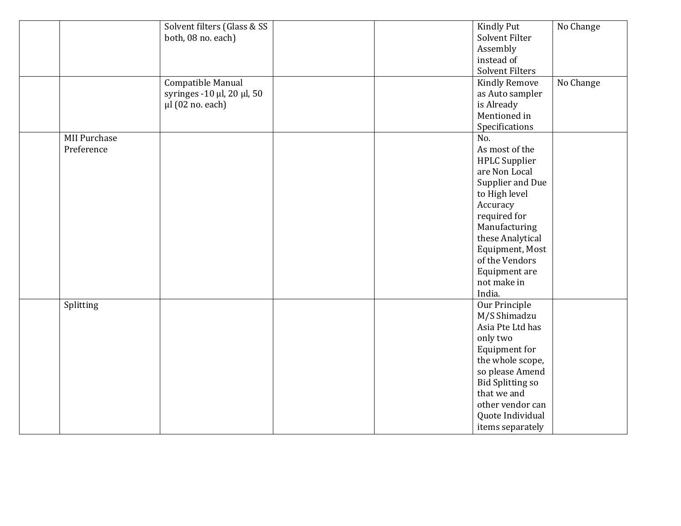|                     | Solvent filters (Glass & SS |  | <b>Kindly Put</b>       | No Change |
|---------------------|-----------------------------|--|-------------------------|-----------|
|                     | both, 08 no. each)          |  | Solvent Filter          |           |
|                     |                             |  | Assembly                |           |
|                     |                             |  | instead of              |           |
|                     |                             |  | <b>Solvent Filters</b>  |           |
|                     | Compatible Manual           |  | <b>Kindly Remove</b>    | No Change |
|                     | syringes -10 µl, 20 µl, 50  |  | as Auto sampler         |           |
|                     | $\mu$ l (02 no. each)       |  | is Already              |           |
|                     |                             |  | Mentioned in            |           |
|                     |                             |  | Specifications          |           |
| <b>MII Purchase</b> |                             |  | No.                     |           |
| Preference          |                             |  | As most of the          |           |
|                     |                             |  | <b>HPLC</b> Supplier    |           |
|                     |                             |  | are Non Local           |           |
|                     |                             |  | Supplier and Due        |           |
|                     |                             |  | to High level           |           |
|                     |                             |  | Accuracy                |           |
|                     |                             |  | required for            |           |
|                     |                             |  |                         |           |
|                     |                             |  | Manufacturing           |           |
|                     |                             |  | these Analytical        |           |
|                     |                             |  | Equipment, Most         |           |
|                     |                             |  | of the Vendors          |           |
|                     |                             |  | Equipment are           |           |
|                     |                             |  | not make in             |           |
|                     |                             |  | India.                  |           |
| Splitting           |                             |  | Our Principle           |           |
|                     |                             |  | M/S Shimadzu            |           |
|                     |                             |  | Asia Pte Ltd has        |           |
|                     |                             |  | only two                |           |
|                     |                             |  | Equipment for           |           |
|                     |                             |  | the whole scope,        |           |
|                     |                             |  | so please Amend         |           |
|                     |                             |  | <b>Bid Splitting so</b> |           |
|                     |                             |  | that we and             |           |
|                     |                             |  | other vendor can        |           |
|                     |                             |  | Quote Individual        |           |
|                     |                             |  | items separately        |           |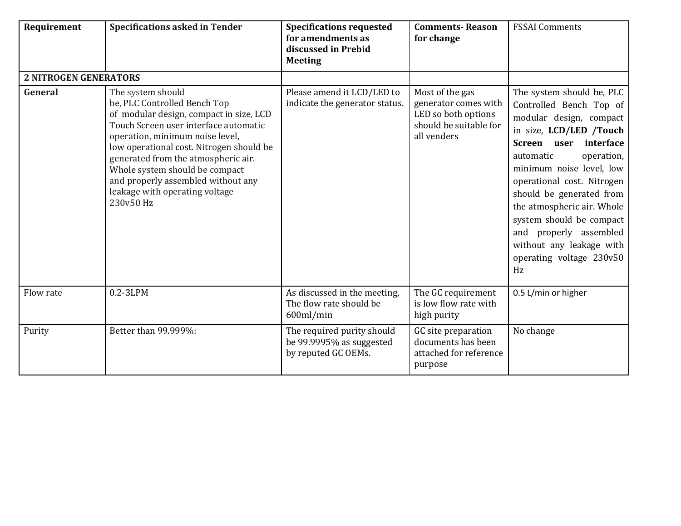| Requirement                  | <b>Specifications asked in Tender</b>                                                                                                                                                                                                                                                                                                                                              | <b>Specifications requested</b><br>for amendments as<br>discussed in Prebid<br><b>Meeting</b> | <b>Comments-Reason</b><br>for change                                                                    | <b>FSSAI Comments</b>                                                                                                                                                                                                                                                                                                                                                                                     |
|------------------------------|------------------------------------------------------------------------------------------------------------------------------------------------------------------------------------------------------------------------------------------------------------------------------------------------------------------------------------------------------------------------------------|-----------------------------------------------------------------------------------------------|---------------------------------------------------------------------------------------------------------|-----------------------------------------------------------------------------------------------------------------------------------------------------------------------------------------------------------------------------------------------------------------------------------------------------------------------------------------------------------------------------------------------------------|
| <b>2 NITROGEN GENERATORS</b> |                                                                                                                                                                                                                                                                                                                                                                                    |                                                                                               |                                                                                                         |                                                                                                                                                                                                                                                                                                                                                                                                           |
| General                      | The system should<br>be, PLC Controlled Bench Top<br>of modular design, compact in size, LCD<br>Touch Screen user interface automatic<br>operation, minimum noise level,<br>low operational cost. Nitrogen should be<br>generated from the atmospheric air.<br>Whole system should be compact<br>and properly assembled without any<br>leakage with operating voltage<br>230v50 Hz | Please amend it LCD/LED to<br>indicate the generator status.                                  | Most of the gas<br>generator comes with<br>LED so both options<br>should be suitable for<br>all venders | The system should be, PLC<br>Controlled Bench Top of<br>modular design, compact<br>in size, LCD/LED /Touch<br>Screen user<br>interface<br>automatic<br>operation,<br>minimum noise level, low<br>operational cost. Nitrogen<br>should be generated from<br>the atmospheric air. Whole<br>system should be compact<br>and properly assembled<br>without any leakage with<br>operating voltage 230v50<br>Hz |
| Flow rate                    | $0.2 - 3LPM$                                                                                                                                                                                                                                                                                                                                                                       | As discussed in the meeting,<br>The flow rate should be<br>$600$ ml/min                       | The GC requirement<br>is low flow rate with<br>high purity                                              | 0.5 L/min or higher                                                                                                                                                                                                                                                                                                                                                                                       |
| Purity                       | Better than 99.999%:                                                                                                                                                                                                                                                                                                                                                               | The required purity should<br>be 99.9995% as suggested<br>by reputed GC OEMs.                 | GC site preparation<br>documents has been<br>attached for reference<br>purpose                          | No change                                                                                                                                                                                                                                                                                                                                                                                                 |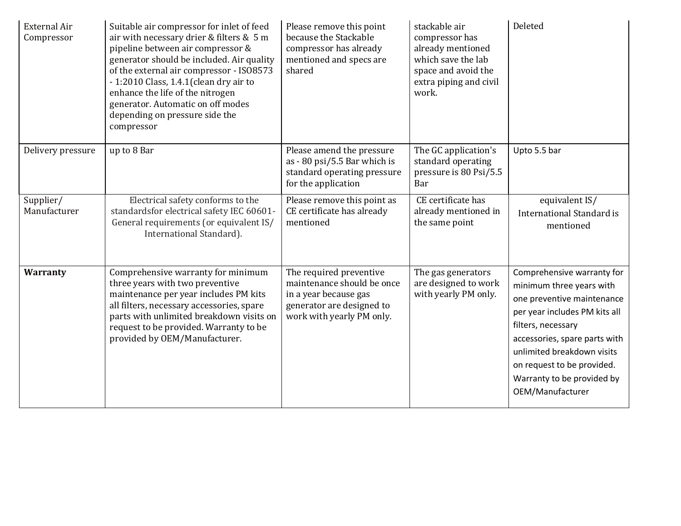| <b>External Air</b><br>Compressor | Suitable air compressor for inlet of feed<br>air with necessary drier & filters & 5 m<br>pipeline between air compressor &<br>generator should be included. Air quality<br>of the external air compressor - ISO8573<br>- 1:2010 Class, 1.4.1 (clean dry air to<br>enhance the life of the nitrogen<br>generator. Automatic on off modes<br>depending on pressure side the<br>compressor | Please remove this point<br>because the Stackable<br>compressor has already<br>mentioned and specs are<br>shared                         | stackable air<br>compressor has<br>already mentioned<br>which save the lab<br>space and avoid the<br>extra piping and civil<br>work. | Deleted                                                                                                                                                                                                                                                                                    |
|-----------------------------------|-----------------------------------------------------------------------------------------------------------------------------------------------------------------------------------------------------------------------------------------------------------------------------------------------------------------------------------------------------------------------------------------|------------------------------------------------------------------------------------------------------------------------------------------|--------------------------------------------------------------------------------------------------------------------------------------|--------------------------------------------------------------------------------------------------------------------------------------------------------------------------------------------------------------------------------------------------------------------------------------------|
| Delivery pressure                 | up to 8 Bar                                                                                                                                                                                                                                                                                                                                                                             | Please amend the pressure<br>as - 80 psi/5.5 Bar which is<br>standard operating pressure<br>for the application                          | The GC application's<br>standard operating<br>pressure is 80 Psi/5.5<br>Bar                                                          | Upto 5.5 bar                                                                                                                                                                                                                                                                               |
| Supplier/<br>Manufacturer         | Electrical safety conforms to the<br>standardsfor electrical safety IEC 60601-<br>General requirements (or equivalent IS/<br>International Standard).                                                                                                                                                                                                                                   | Please remove this point as<br>CE certificate has already<br>mentioned                                                                   | CE certificate has<br>already mentioned in<br>the same point                                                                         | equivalent IS/<br>International Standard is<br>mentioned                                                                                                                                                                                                                                   |
| <b>Warranty</b>                   | Comprehensive warranty for minimum<br>three years with two preventive<br>maintenance per year includes PM kits<br>all filters, necessary accessories, spare<br>parts with unlimited breakdown visits on<br>request to be provided. Warranty to be<br>provided by OEM/Manufacturer.                                                                                                      | The required preventive<br>maintenance should be once<br>in a year because gas<br>generator are designed to<br>work with yearly PM only. | The gas generators<br>are designed to work<br>with yearly PM only.                                                                   | Comprehensive warranty for<br>minimum three years with<br>one preventive maintenance<br>per year includes PM kits all<br>filters, necessary<br>accessories, spare parts with<br>unlimited breakdown visits<br>on request to be provided.<br>Warranty to be provided by<br>OEM/Manufacturer |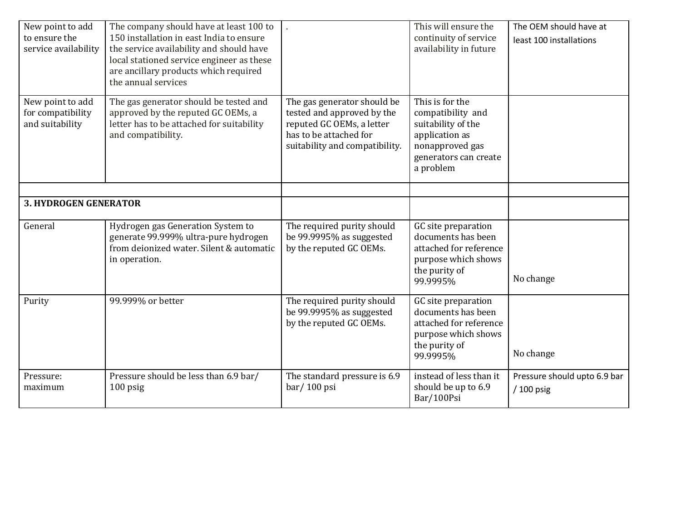| New point to add<br>to ensure the<br>service availability | The company should have at least 100 to<br>150 installation in east India to ensure<br>the service availability and should have<br>local stationed service engineer as these<br>are ancillary products which required<br>the annual services |                                                                                                                                                    | This will ensure the<br>continuity of service<br>availability in future                                                               | The OEM should have at<br>least 100 installations |
|-----------------------------------------------------------|----------------------------------------------------------------------------------------------------------------------------------------------------------------------------------------------------------------------------------------------|----------------------------------------------------------------------------------------------------------------------------------------------------|---------------------------------------------------------------------------------------------------------------------------------------|---------------------------------------------------|
| New point to add<br>for compatibility<br>and suitability  | The gas generator should be tested and<br>approved by the reputed GC OEMs, a<br>letter has to be attached for suitability<br>and compatibility.                                                                                              | The gas generator should be<br>tested and approved by the<br>reputed GC OEMs, a letter<br>has to be attached for<br>suitability and compatibility. | This is for the<br>compatibility and<br>suitability of the<br>application as<br>nonapproved gas<br>generators can create<br>a problem |                                                   |
| <b>3. HYDROGEN GENERATOR</b>                              |                                                                                                                                                                                                                                              |                                                                                                                                                    |                                                                                                                                       |                                                   |
|                                                           |                                                                                                                                                                                                                                              |                                                                                                                                                    |                                                                                                                                       |                                                   |
| General                                                   | Hydrogen gas Generation System to<br>generate 99.999% ultra-pure hydrogen<br>from deionized water. Silent & automatic<br>in operation.                                                                                                       | The required purity should<br>be 99.9995% as suggested<br>by the reputed GC OEMs.                                                                  | GC site preparation<br>documents has been<br>attached for reference<br>purpose which shows<br>the purity of<br>99.9995%               | No change                                         |
| Purity                                                    | 99.999% or better                                                                                                                                                                                                                            | The required purity should<br>be 99.9995% as suggested<br>by the reputed GC OEMs.                                                                  | GC site preparation<br>documents has been<br>attached for reference<br>purpose which shows<br>the purity of<br>99.9995%               | No change                                         |
| Pressure:<br>maximum                                      | Pressure should be less than 6.9 bar/<br>$100$ psig                                                                                                                                                                                          | The standard pressure is 6.9<br>bar/100 psi                                                                                                        | instead of less than it<br>should be up to 6.9<br>Bar/100Psi                                                                          | Pressure should upto 6.9 bar<br>/ 100 psig        |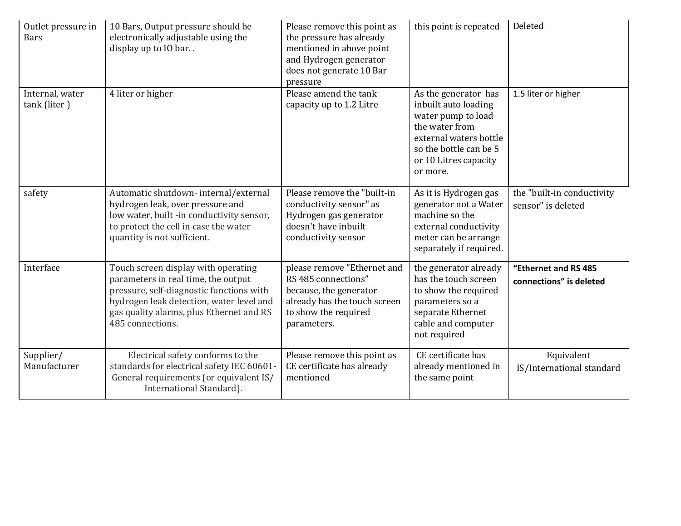| Outlet pressure in<br><b>Bars</b> | 10 Bars, Output pressure should be<br>electronically adjustable using the<br>display up to IO bar                                                                                                                                  | Please remove this point as<br>the pressure has already<br>mentioned in above point<br>and Hydrogen generator<br>does not generate 10 Bar<br>pressure | this point is repeated                                                                                                                                                        | Deleted                                          |
|-----------------------------------|------------------------------------------------------------------------------------------------------------------------------------------------------------------------------------------------------------------------------------|-------------------------------------------------------------------------------------------------------------------------------------------------------|-------------------------------------------------------------------------------------------------------------------------------------------------------------------------------|--------------------------------------------------|
| Internal, water<br>tank (liter)   | 4 liter or higher                                                                                                                                                                                                                  | Please amend the tank<br>capacity up to 1.2 Litre                                                                                                     | As the generator has<br>inbuilt auto loading<br>water pump to load<br>the water from<br>external waters bottle<br>so the bottle can be 5<br>or 10 Litres capacity<br>or more. | 1.5 liter or higher                              |
| safety                            | Automatic shutdown-internal/external<br>hydrogen leak, over pressure and<br>low water, built -in conductivity sensor,<br>to protect the cell in case the water<br>quantity is not sufficient.                                      | Please remove the "built-in<br>conductivity sensor" as<br>Hydrogen gas generator<br>doesn't have inbuilt<br>conductivity sensor                       | As it is Hydrogen gas<br>generator not a Water<br>machine so the<br>external conductivity<br>meter can be arrange<br>separately if required.                                  | the "built-in conductivity<br>sensor" is deleted |
| Interface                         | Touch screen display with operating<br>parameters in real time, the output<br>pressure, self-diagnostic functions with<br>hydrogen leak detection, water level and<br>gas quality alarms, plus Ethernet and RS<br>485 connections. | please remove "Ethernet and<br>RS 485 connections"<br>because, the generator<br>already has the touch screen<br>to show the required<br>parameters.   | the generator already<br>has the touch screen<br>to show the required<br>parameters so a<br>separate Ethernet<br>cable and computer<br>not required                           | "Ethernet and RS 485<br>connections" is deleted  |
| Supplier/<br>Manufacturer         | Electrical safety conforms to the<br>standards for electrical safety IEC 60601-<br>General requirements (or equivalent IS/<br>International Standard).                                                                             | Please remove this point as<br>CE certificate has already<br>mentioned                                                                                | CE certificate has<br>already mentioned in<br>the same point                                                                                                                  | Equivalent<br>IS/International standard          |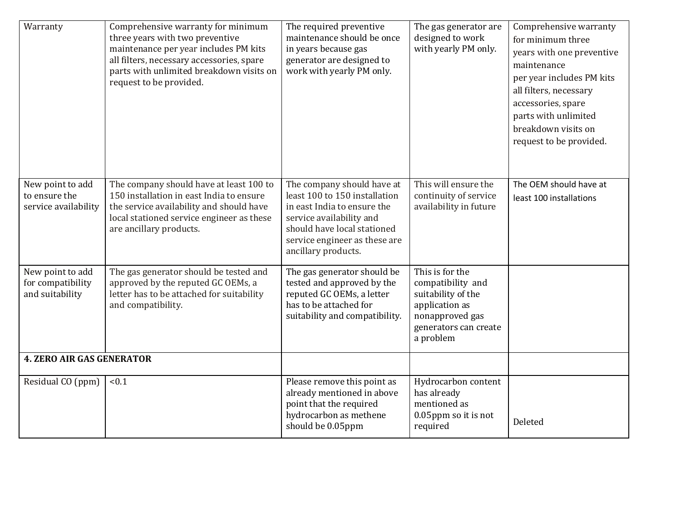| Warranty                                                  | Comprehensive warranty for minimum<br>three years with two preventive<br>maintenance per year includes PM kits<br>all filters, necessary accessories, spare<br>parts with unlimited breakdown visits on<br>request to be provided. | The required preventive<br>maintenance should be once<br>in years because gas<br>generator are designed to<br>work with yearly PM only.                                                                       | The gas generator are<br>designed to work<br>with yearly PM only.                                                                     | Comprehensive warranty<br>for minimum three<br>years with one preventive<br>maintenance<br>per year includes PM kits<br>all filters, necessary<br>accessories, spare<br>parts with unlimited<br>breakdown visits on<br>request to be provided. |
|-----------------------------------------------------------|------------------------------------------------------------------------------------------------------------------------------------------------------------------------------------------------------------------------------------|---------------------------------------------------------------------------------------------------------------------------------------------------------------------------------------------------------------|---------------------------------------------------------------------------------------------------------------------------------------|------------------------------------------------------------------------------------------------------------------------------------------------------------------------------------------------------------------------------------------------|
| New point to add<br>to ensure the<br>service availability | The company should have at least 100 to<br>150 installation in east India to ensure<br>the service availability and should have<br>local stationed service engineer as these<br>are ancillary products.                            | The company should have at<br>least 100 to 150 installation<br>in east India to ensure the<br>service availability and<br>should have local stationed<br>service engineer as these are<br>ancillary products. | This will ensure the<br>continuity of service<br>availability in future                                                               | The OEM should have at<br>least 100 installations                                                                                                                                                                                              |
| New point to add<br>for compatibility<br>and suitability  | The gas generator should be tested and<br>approved by the reputed GC OEMs, a<br>letter has to be attached for suitability<br>and compatibility.                                                                                    | The gas generator should be<br>tested and approved by the<br>reputed GC OEMs, a letter<br>has to be attached for<br>suitability and compatibility.                                                            | This is for the<br>compatibility and<br>suitability of the<br>application as<br>nonapproved gas<br>generators can create<br>a problem |                                                                                                                                                                                                                                                |
| <b>4. ZERO AIR GAS GENERATOR</b>                          |                                                                                                                                                                                                                                    |                                                                                                                                                                                                               |                                                                                                                                       |                                                                                                                                                                                                                                                |
| Residual CO (ppm)                                         | < 0.1                                                                                                                                                                                                                              | Please remove this point as<br>already mentioned in above<br>point that the required<br>hydrocarbon as methene<br>should be 0.05ppm                                                                           | Hydrocarbon content<br>has already<br>mentioned as<br>0.05ppm so it is not<br>required                                                | Deleted                                                                                                                                                                                                                                        |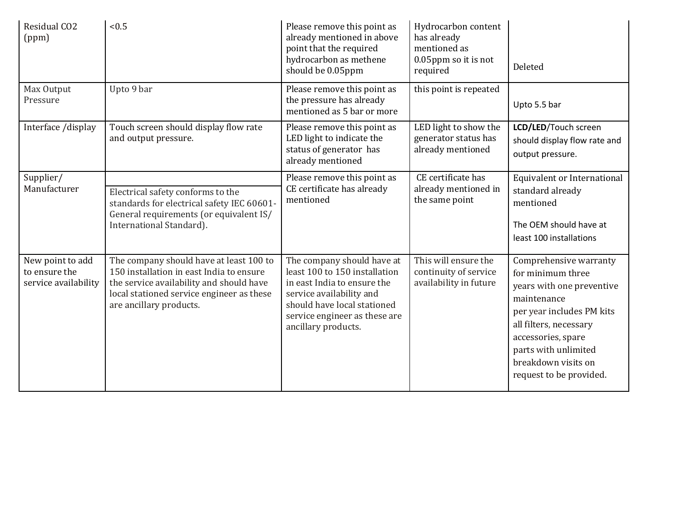| Residual CO <sub>2</sub><br>(ppm)                         | < 0.5                                                                                                                                                                                                   | Please remove this point as<br>already mentioned in above<br>point that the required<br>hydrocarbon as methene<br>should be 0.05ppm                                                                           | Hydrocarbon content<br>has already<br>mentioned as<br>0.05ppm so it is not<br>required | Deleted                                                                                                                                                                                                                                        |
|-----------------------------------------------------------|---------------------------------------------------------------------------------------------------------------------------------------------------------------------------------------------------------|---------------------------------------------------------------------------------------------------------------------------------------------------------------------------------------------------------------|----------------------------------------------------------------------------------------|------------------------------------------------------------------------------------------------------------------------------------------------------------------------------------------------------------------------------------------------|
| Max Output<br>Pressure                                    | Upto 9 bar                                                                                                                                                                                              | Please remove this point as<br>the pressure has already<br>mentioned as 5 bar or more                                                                                                                         | this point is repeated                                                                 | Upto 5.5 bar                                                                                                                                                                                                                                   |
| Interface /display                                        | Touch screen should display flow rate<br>and output pressure.                                                                                                                                           | Please remove this point as<br>LED light to indicate the<br>status of generator has<br>already mentioned                                                                                                      | LED light to show the<br>generator status has<br>already mentioned                     | LCD/LED/Touch screen<br>should display flow rate and<br>output pressure.                                                                                                                                                                       |
| Supplier/<br>Manufacturer                                 | Electrical safety conforms to the<br>standards for electrical safety IEC 60601-<br>General requirements (or equivalent IS/<br>International Standard).                                                  | Please remove this point as<br>CE certificate has already<br>mentioned                                                                                                                                        | CE certificate has<br>already mentioned in<br>the same point                           | Equivalent or International<br>standard already<br>mentioned<br>The OEM should have at<br>least 100 installations                                                                                                                              |
| New point to add<br>to ensure the<br>service availability | The company should have at least 100 to<br>150 installation in east India to ensure<br>the service availability and should have<br>local stationed service engineer as these<br>are ancillary products. | The company should have at<br>least 100 to 150 installation<br>in east India to ensure the<br>service availability and<br>should have local stationed<br>service engineer as these are<br>ancillary products. | This will ensure the<br>continuity of service<br>availability in future                | Comprehensive warranty<br>for minimum three<br>years with one preventive<br>maintenance<br>per year includes PM kits<br>all filters, necessary<br>accessories, spare<br>parts with unlimited<br>breakdown visits on<br>request to be provided. |